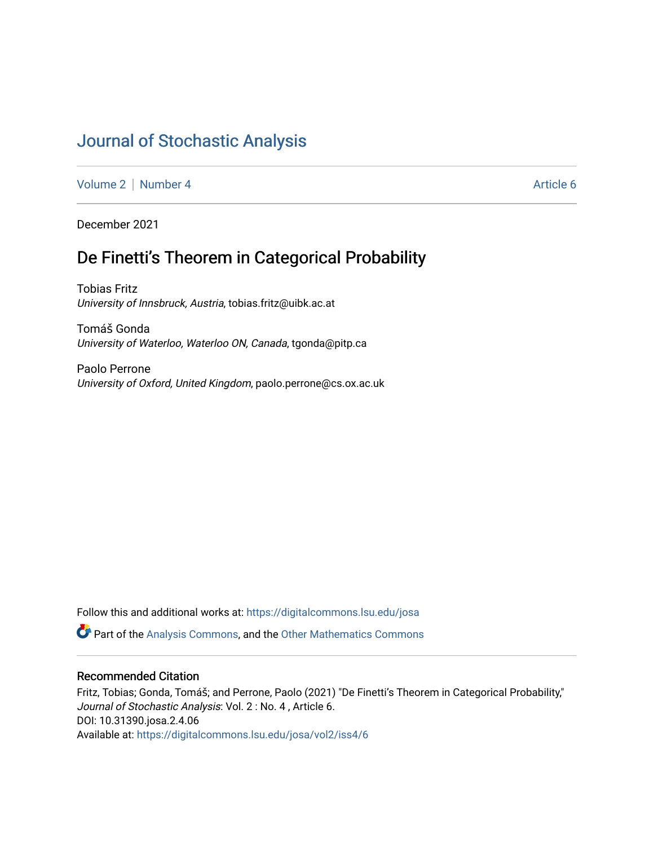# [Journal of Stochastic Analysis](https://digitalcommons.lsu.edu/josa)

[Volume 2](https://digitalcommons.lsu.edu/josa/vol2) | [Number 4](https://digitalcommons.lsu.edu/josa/vol2/iss4) Article 6

December 2021

## De Finetti's Theorem in Categorical Probability

Tobias Fritz University of Innsbruck, Austria, tobias.fritz@uibk.ac.at

Tomáš Gonda University of Waterloo, Waterloo ON, Canada, tgonda@pitp.ca

Paolo Perrone University of Oxford, United Kingdom, paolo.perrone@cs.ox.ac.uk

Follow this and additional works at: [https://digitalcommons.lsu.edu/josa](https://digitalcommons.lsu.edu/josa?utm_source=digitalcommons.lsu.edu%2Fjosa%2Fvol2%2Fiss4%2F6&utm_medium=PDF&utm_campaign=PDFCoverPages) 

**P** Part of the [Analysis Commons](http://network.bepress.com/hgg/discipline/177?utm_source=digitalcommons.lsu.edu%2Fjosa%2Fvol2%2Fiss4%2F6&utm_medium=PDF&utm_campaign=PDFCoverPages), and the [Other Mathematics Commons](http://network.bepress.com/hgg/discipline/185?utm_source=digitalcommons.lsu.edu%2Fjosa%2Fvol2%2Fiss4%2F6&utm_medium=PDF&utm_campaign=PDFCoverPages)

### Recommended Citation

Fritz, Tobias; Gonda, Tomáš; and Perrone, Paolo (2021) "De Finetti's Theorem in Categorical Probability," Journal of Stochastic Analysis: Vol. 2 : No. 4 , Article 6. DOI: 10.31390.josa.2.4.06 Available at: [https://digitalcommons.lsu.edu/josa/vol2/iss4/6](https://digitalcommons.lsu.edu/josa/vol2/iss4/6?utm_source=digitalcommons.lsu.edu%2Fjosa%2Fvol2%2Fiss4%2F6&utm_medium=PDF&utm_campaign=PDFCoverPages)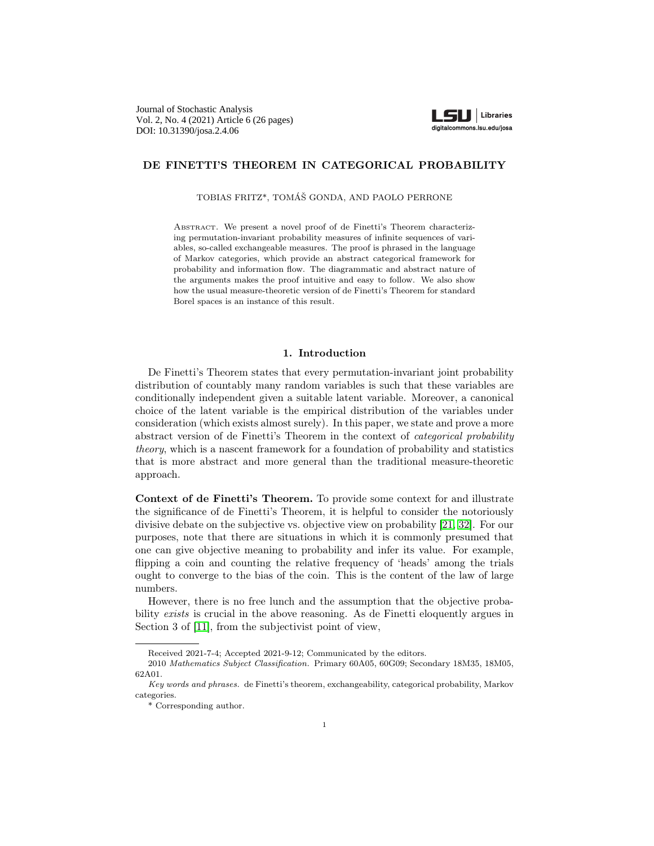

#### <span id="page-1-0"></span>DE FINETTI'S THEOREM IN CATEGORICAL PROBABILITY

TOBIAS FRITZ\*, TOMÁŠ GONDA, AND PAOLO PERRONE

Abstract. We present a novel proof of de Finetti's Theorem characterizing permutation-invariant probability measures of infinite sequences of variables, so-called exchangeable measures. The proof is phrased in the language of Markov categories, which provide an abstract categorical framework for probability and information flow. The diagrammatic and abstract nature of the arguments makes the proof intuitive and easy to follow. We also show how the usual measure-theoretic version of de Finetti's Theorem for standard Borel spaces is an instance of this result.

#### 1. Introduction

De Finetti's Theorem states that every permutation-invariant joint probability distribution of countably many random variables is such that these variables are conditionally independent given a suitable latent variable. Moreover, a canonical choice of the latent variable is the empirical distribution of the variables under consideration (which exists almost surely). In this paper, we state and prove a more abstract version of de Finetti's Theorem in the context of categorical probability theory, which is a nascent framework for a foundation of probability and statistics that is more abstract and more general than the traditional measure-theoretic approach.

Context of de Finetti's Theorem. To provide some context for and illustrate the significance of de Finetti's Theorem, it is helpful to consider the notoriously divisive debate on the subjective vs. objective view on probability [\[21,](#page-25-0) [32\]](#page-25-1). For our purposes, note that there are situations in which it is commonly presumed that one can give objective meaning to probability and infer its value. For example, flipping a coin and counting the relative frequency of 'heads' among the trials ought to converge to the bias of the coin. This is the content of the law of large numbers.

However, there is no free lunch and the assumption that the objective probability exists is crucial in the above reasoning. As de Finetti eloquently argues in Section 3 of [\[11\]](#page-24-0), from the subjectivist point of view,

Received 2021-7-4; Accepted 2021-9-12; Communicated by the editors.

<sup>2010</sup> Mathematics Subject Classification. Primary 60A05, 60G09; Secondary 18M35, 18M05, 62A01.

Key words and phrases. de Finetti's theorem, exchangeability, categorical probability, Markov categories.

<sup>\*</sup> Corresponding author.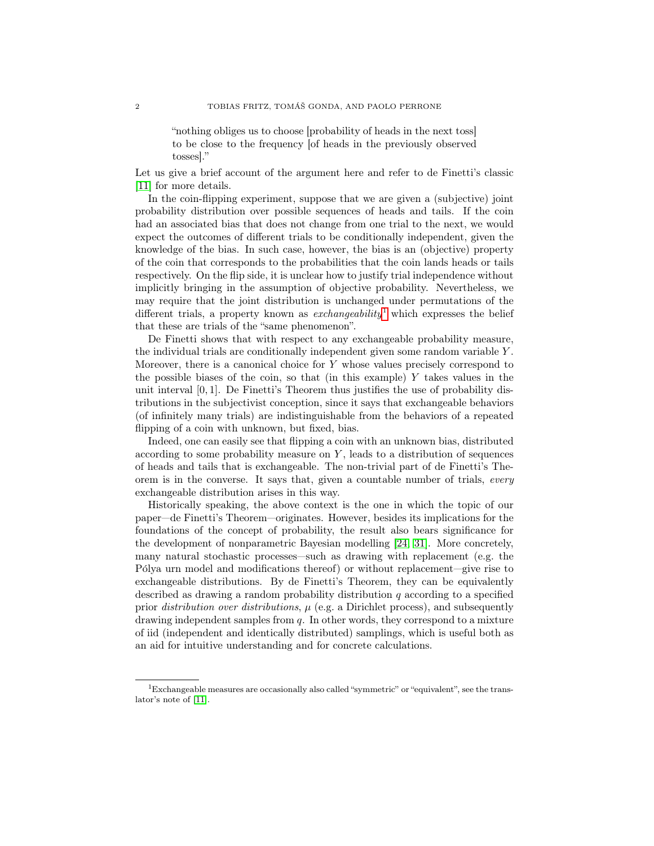<span id="page-2-1"></span>"nothing obliges us to choose [probability of heads in the next toss] to be close to the frequency [of heads in the previously observed tosses]."

Let us give a brief account of the argument here and refer to de Finetti's classic [\[11\]](#page-24-0) for more details.

In the coin-flipping experiment, suppose that we are given a (subjective) joint probability distribution over possible sequences of heads and tails. If the coin had an associated bias that does not change from one trial to the next, we would expect the outcomes of different trials to be conditionally independent, given the knowledge of the bias. In such case, however, the bias is an (objective) property of the coin that corresponds to the probabilities that the coin lands heads or tails respectively. On the flip side, it is unclear how to justify trial independence without implicitly bringing in the assumption of objective probability. Nevertheless, we may require that the joint distribution is unchanged under permutations of the different trials, a property known as *exchangeability* which expresses the belief that these are trials of the "same phenomenon".

De Finetti shows that with respect to any exchangeable probability measure, the individual trials are conditionally independent given some random variable Y . Moreover, there is a canonical choice for  $Y$  whose values precisely correspond to the possible biases of the coin, so that (in this example)  $Y$  takes values in the unit interval  $[0, 1]$ . De Finetti's Theorem thus justifies the use of probability distributions in the subjectivist conception, since it says that exchangeable behaviors (of infinitely many trials) are indistinguishable from the behaviors of a repeated flipping of a coin with unknown, but fixed, bias.

Indeed, one can easily see that flipping a coin with an unknown bias, distributed according to some probability measure on  $Y$ , leads to a distribution of sequences of heads and tails that is exchangeable. The non-trivial part of de Finetti's Theorem is in the converse. It says that, given a countable number of trials, every exchangeable distribution arises in this way.

Historically speaking, the above context is the one in which the topic of our paper—de Finetti's Theorem—originates. However, besides its implications for the foundations of the concept of probability, the result also bears significance for the development of nonparametric Bayesian modelling [\[24,](#page-25-2) [31\]](#page-25-3). More concretely, many natural stochastic processes—such as drawing with replacement (e.g. the Pólya urn model and modifications thereof) or without replacement—give rise to exchangeable distributions. By de Finetti's Theorem, they can be equivalently described as drawing a random probability distribution  $q$  according to a specified prior distribution over distributions,  $\mu$  (e.g. a Dirichlet process), and subsequently drawing independent samples from  $q$ . In other words, they correspond to a mixture of iid (independent and identically distributed) samplings, which is useful both as an aid for intuitive understanding and for concrete calculations.

<span id="page-2-0"></span><sup>1</sup>Exchangeable measures are occasionally also called "symmetric" or "equivalent", see the translator's note of [\[11\]](#page-24-0).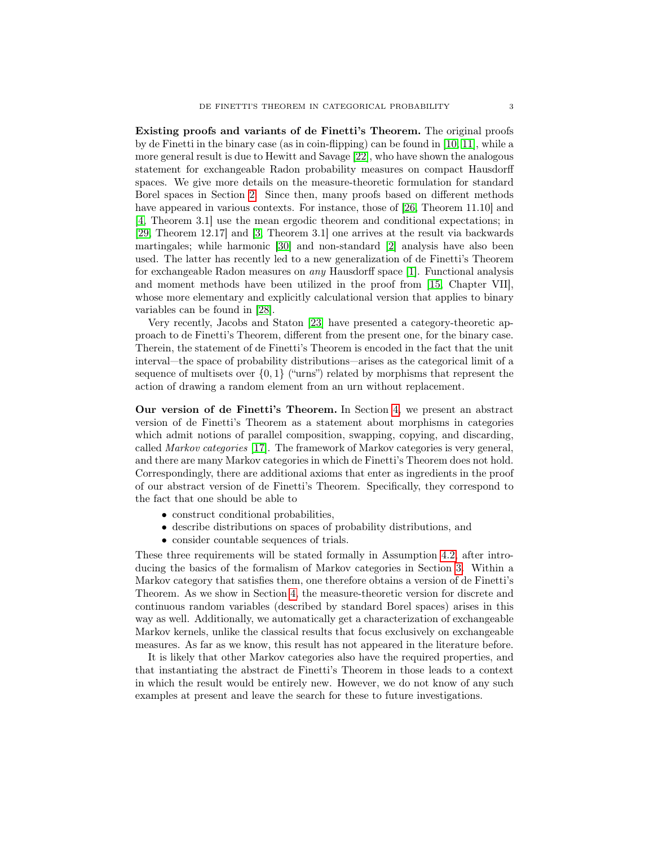<span id="page-3-0"></span>Existing proofs and variants of de Finetti's Theorem. The original proofs by de Finetti in the binary case (as in coin-flipping) can be found in [\[10,](#page-24-1) [11\]](#page-24-0), while a more general result is due to Hewitt and Savage [\[22\]](#page-25-4), who have shown the analogous statement for exchangeable Radon probability measures on compact Hausdorff spaces. We give more details on the measure-theoretic formulation for standard Borel spaces in Section [2.](#page-4-0) Since then, many proofs based on different methods have appeared in various contexts. For instance, those of [\[26,](#page-25-5) Theorem 11.10] and [\[4,](#page-24-2) Theorem 3.1] use the mean ergodic theorem and conditional expectations; in [\[29,](#page-25-6) Theorem 12.17] and [\[3,](#page-24-3) Theorem 3.1] one arrives at the result via backwards martingales; while harmonic [\[30\]](#page-25-7) and non-standard [\[2\]](#page-24-4) analysis have also been used. The latter has recently led to a new generalization of de Finetti's Theorem for exchangeable Radon measures on any Hausdorff space [\[1\]](#page-24-5). Functional analysis and moment methods have been utilized in the proof from [\[15,](#page-25-8) Chapter VII], whose more elementary and explicitly calculational version that applies to binary variables can be found in [\[28\]](#page-25-9).

Very recently, Jacobs and Staton [\[23\]](#page-25-10) have presented a category-theoretic approach to de Finetti's Theorem, different from the present one, for the binary case. Therein, the statement of de Finetti's Theorem is encoded in the fact that the unit interval—the space of probability distributions—arises as the categorical limit of a sequence of multisets over  $\{0,1\}$  ("urns") related by morphisms that represent the action of drawing a random element from an urn without replacement.

Our version of de Finetti's Theorem. In Section [4,](#page-13-0) we present an abstract version of de Finetti's Theorem as a statement about morphisms in categories which admit notions of parallel composition, swapping, copying, and discarding, called Markov categories [\[17\]](#page-25-11). The framework of Markov categories is very general, and there are many Markov categories in which de Finetti's Theorem does not hold. Correspondingly, there are additional axioms that enter as ingredients in the proof of our abstract version of de Finetti's Theorem. Specifically, they correspond to the fact that one should be able to

- construct conditional probabilities,
- describe distributions on spaces of probability distributions, and
- consider countable sequences of trials.

These three requirements will be stated formally in Assumption [4.2,](#page-14-0) after introducing the basics of the formalism of Markov categories in Section [3.](#page-6-0) Within a Markov category that satisfies them, one therefore obtains a version of de Finetti's Theorem. As we show in Section [4,](#page-13-0) the measure-theoretic version for discrete and continuous random variables (described by standard Borel spaces) arises in this way as well. Additionally, we automatically get a characterization of exchangeable Markov kernels, unlike the classical results that focus exclusively on exchangeable measures. As far as we know, this result has not appeared in the literature before.

It is likely that other Markov categories also have the required properties, and that instantiating the abstract de Finetti's Theorem in those leads to a context in which the result would be entirely new. However, we do not know of any such examples at present and leave the search for these to future investigations.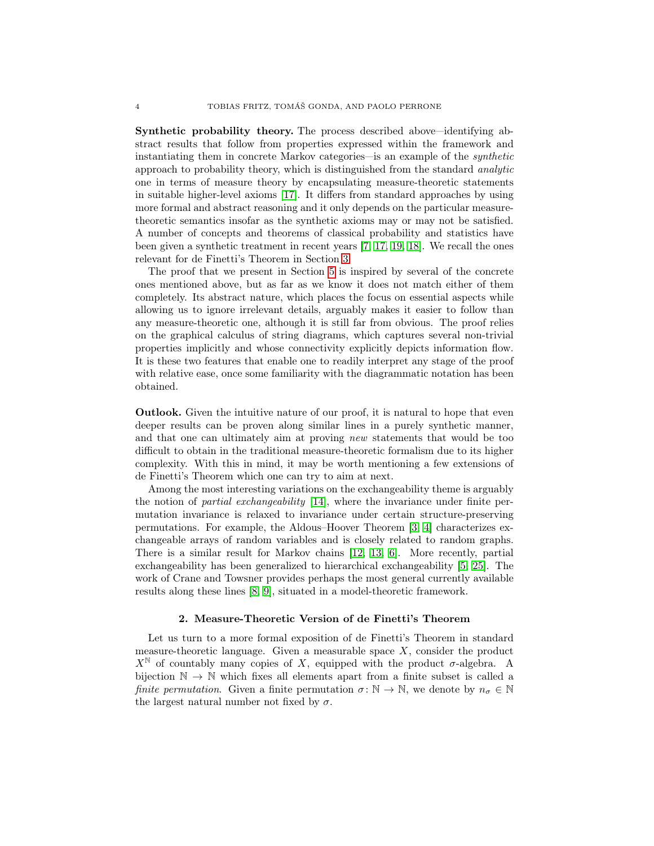<span id="page-4-1"></span>Synthetic probability theory. The process described above—identifying abstract results that follow from properties expressed within the framework and instantiating them in concrete Markov categories—is an example of the synthetic approach to probability theory, which is distinguished from the standard analytic one in terms of measure theory by encapsulating measure-theoretic statements in suitable higher-level axioms [\[17\]](#page-25-11). It differs from standard approaches by using more formal and abstract reasoning and it only depends on the particular measuretheoretic semantics insofar as the synthetic axioms may or may not be satisfied. A number of concepts and theorems of classical probability and statistics have been given a synthetic treatment in recent years [\[7,](#page-24-6) [17,](#page-25-11) [19,](#page-25-12) [18\]](#page-25-13). We recall the ones relevant for de Finetti's Theorem in Section [3.](#page-6-0)

The proof that we present in Section [5](#page-16-0) is inspired by several of the concrete ones mentioned above, but as far as we know it does not match either of them completely. Its abstract nature, which places the focus on essential aspects while allowing us to ignore irrelevant details, arguably makes it easier to follow than any measure-theoretic one, although it is still far from obvious. The proof relies on the graphical calculus of string diagrams, which captures several non-trivial properties implicitly and whose connectivity explicitly depicts information flow. It is these two features that enable one to readily interpret any stage of the proof with relative ease, once some familiarity with the diagrammatic notation has been obtained.

Outlook. Given the intuitive nature of our proof, it is natural to hope that even deeper results can be proven along similar lines in a purely synthetic manner, and that one can ultimately aim at proving new statements that would be too difficult to obtain in the traditional measure-theoretic formalism due to its higher complexity. With this in mind, it may be worth mentioning a few extensions of de Finetti's Theorem which one can try to aim at next.

Among the most interesting variations on the exchangeability theme is arguably the notion of partial exchangeability [\[14\]](#page-25-14), where the invariance under finite permutation invariance is relaxed to invariance under certain structure-preserving permutations. For example, the Aldous–Hoover Theorem [\[3,](#page-24-3) [4\]](#page-24-2) characterizes exchangeable arrays of random variables and is closely related to random graphs. There is a similar result for Markov chains [\[12,](#page-25-15) [13,](#page-25-16) [6\]](#page-24-7). More recently, partial exchangeability has been generalized to hierarchical exchangeability [\[5,](#page-24-8) [25\]](#page-25-17). The work of Crane and Towsner provides perhaps the most general currently available results along these lines [\[8,](#page-24-9) [9\]](#page-24-10), situated in a model-theoretic framework.

#### 2. Measure-Theoretic Version of de Finetti's Theorem

<span id="page-4-0"></span>Let us turn to a more formal exposition of de Finetti's Theorem in standard measure-theoretic language. Given a measurable space  $X$ , consider the product  $X^{\mathbb{N}}$  of countably many copies of X, equipped with the product  $\sigma$ -algebra. A bijection  $\mathbb{N} \to \mathbb{N}$  which fixes all elements apart from a finite subset is called a finite permutation. Given a finite permutation  $\sigma: \mathbb{N} \to \mathbb{N}$ , we denote by  $n_{\sigma} \in \mathbb{N}$ the largest natural number not fixed by  $\sigma$ .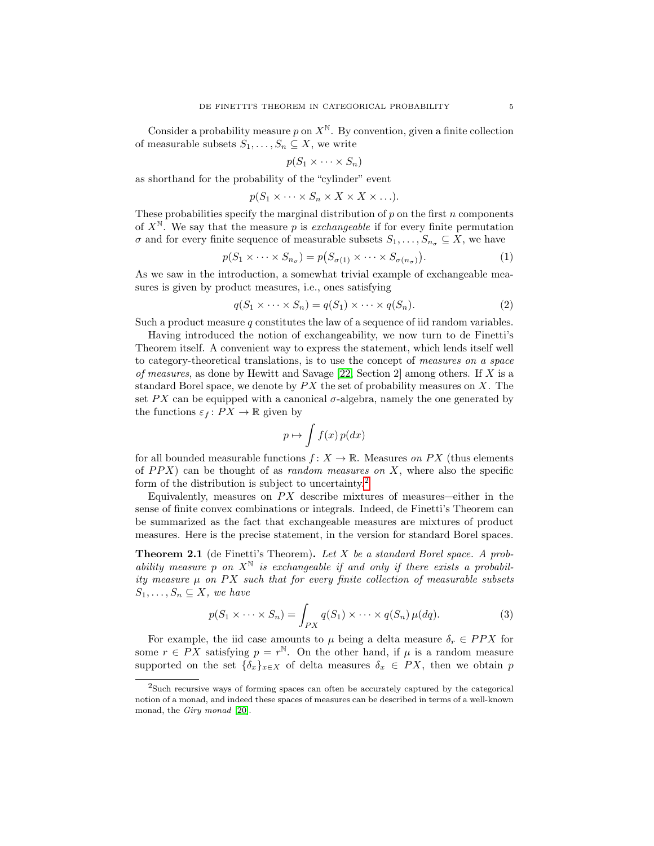<span id="page-5-2"></span>Consider a probability measure p on  $X^{\mathbb{N}}$ . By convention, given a finite collection of measurable subsets  $S_1, \ldots, S_n \subseteq X$ , we write

$$
p(S_1 \times \cdots \times S_n)
$$

as shorthand for the probability of the "cylinder" event

$$
p(S_1 \times \cdots \times S_n \times X \times X \times \ldots).
$$

These probabilities specify the marginal distribution of  $p$  on the first  $n$  components of  $X^{\mathbb{N}}$ . We say that the measure p is exchangeable if for every finite permutation  $\sigma$  and for every finite sequence of measurable subsets  $S_1, \ldots, S_{n_\sigma} \subseteq X$ , we have

$$
p(S_1 \times \cdots \times S_{n_{\sigma}}) = p(S_{\sigma(1)} \times \cdots \times S_{\sigma(n_{\sigma})}).
$$
\n(1)

As we saw in the introduction, a somewhat trivial example of exchangeable measures is given by product measures, i.e., ones satisfying

$$
q(S_1 \times \cdots \times S_n) = q(S_1) \times \cdots \times q(S_n).
$$
 (2)

Such a product measure  $q$  constitutes the law of a sequence of iid random variables.

Having introduced the notion of exchangeability, we now turn to de Finetti's Theorem itself. A convenient way to express the statement, which lends itself well to category-theoretical translations, is to use the concept of measures on a space of measures, as done by Hewitt and Savage  $[22, \text{Section 2}]$  $[22, \text{Section 2}]$  among others. If X is a standard Borel space, we denote by  $PX$  the set of probability measures on X. The set PX can be equipped with a canonical  $\sigma$ -algebra, namely the one generated by the functions  $\varepsilon_f : PX \to \mathbb{R}$  given by

$$
p \mapsto \int f(x) \, p(dx)
$$

for all bounded measurable functions  $f: X \to \mathbb{R}$ . Measures on PX (thus elements of  $PPX$ ) can be thought of as *random measures on* X, where also the specific form of the distribution is subject to uncertainty.[2](#page-5-0)

Equivalently, measures on  $PX$  describe mixtures of measures—either in the sense of finite convex combinations or integrals. Indeed, de Finetti's Theorem can be summarized as the fact that exchangeable measures are mixtures of product measures. Here is the precise statement, in the version for standard Borel spaces.

<span id="page-5-1"></span>Theorem 2.1 (de Finetti's Theorem). Let X be a standard Borel space. A probability measure p on  $X^{\mathbb{N}}$  is exchangeable if and only if there exists a probability measure  $\mu$  on PX such that for every finite collection of measurable subsets  $S_1, \ldots, S_n \subseteq X$ , we have

$$
p(S_1 \times \cdots \times S_n) = \int_{PX} q(S_1) \times \cdots \times q(S_n) \mu(dq).
$$
 (3)

For example, the iid case amounts to  $\mu$  being a delta measure  $\delta_r \in PPX$  for some  $r \in PX$  satisfying  $p = r^{\mathbb{N}}$ . On the other hand, if  $\mu$  is a random measure supported on the set  $\{\delta_x\}_{x\in X}$  of delta measures  $\delta_x \in PX$ , then we obtain p

<span id="page-5-0"></span><sup>2</sup>Such recursive ways of forming spaces can often be accurately captured by the categorical notion of a monad, and indeed these spaces of measures can be described in terms of a well-known monad, the Giry monad [\[20\]](#page-25-18).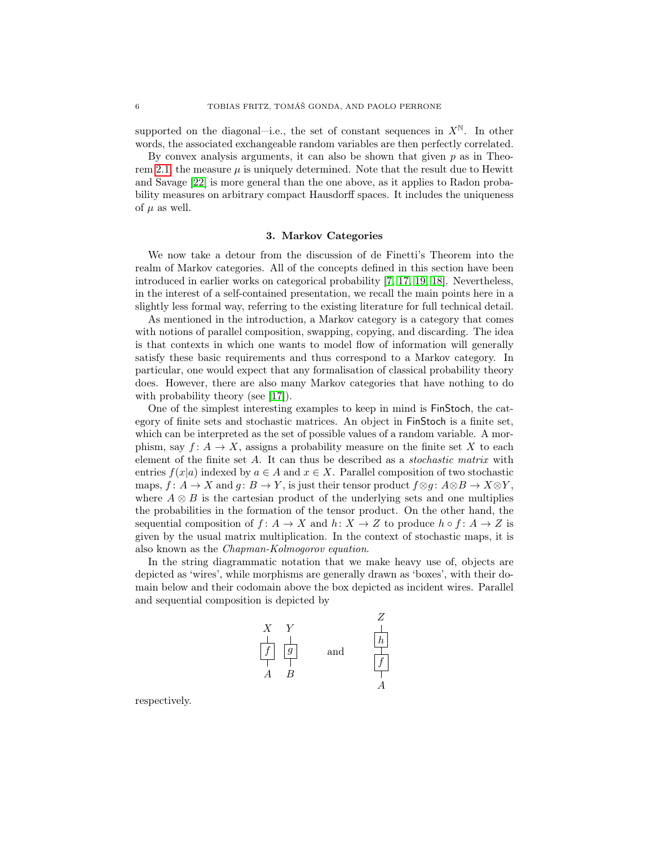<span id="page-6-1"></span>supported on the diagonal—i.e., the set of constant sequences in  $X^{\mathbb{N}}$ . In other words, the associated exchangeable random variables are then perfectly correlated.

By convex analysis arguments, it can also be shown that given  $p$  as in Theo-rem [2.1,](#page-5-1) the measure  $\mu$  is uniquely determined. Note that the result due to Hewitt and Savage [\[22\]](#page-25-4) is more general than the one above, as it applies to Radon probability measures on arbitrary compact Hausdorff spaces. It includes the uniqueness of  $\mu$  as well.

#### 3. Markov Categories

<span id="page-6-0"></span>We now take a detour from the discussion of de Finetti's Theorem into the realm of Markov categories. All of the concepts defined in this section have been introduced in earlier works on categorical probability [\[7,](#page-24-6) [17,](#page-25-11) [19,](#page-25-12) [18\]](#page-25-13). Nevertheless, in the interest of a self-contained presentation, we recall the main points here in a slightly less formal way, referring to the existing literature for full technical detail.

As mentioned in the introduction, a Markov category is a category that comes with notions of parallel composition, swapping, copying, and discarding. The idea is that contexts in which one wants to model flow of information will generally satisfy these basic requirements and thus correspond to a Markov category. In particular, one would expect that any formalisation of classical probability theory does. However, there are also many Markov categories that have nothing to do with probability theory (see [\[17\]](#page-25-11)).

One of the simplest interesting examples to keep in mind is FinStoch, the category of finite sets and stochastic matrices. An object in FinStoch is a finite set, which can be interpreted as the set of possible values of a random variable. A morphism, say  $f: A \to X$ , assigns a probability measure on the finite set X to each element of the finite set A. It can thus be described as a stochastic matrix with entries  $f(x|a)$  indexed by  $a \in A$  and  $x \in X$ . Parallel composition of two stochastic maps,  $f: A \to X$  and  $g: B \to Y$ , is just their tensor product  $f \otimes g: A \otimes B \to X \otimes Y$ , where  $A \otimes B$  is the cartesian product of the underlying sets and one multiplies the probabilities in the formation of the tensor product. On the other hand, the sequential composition of  $f: A \to X$  and  $h: X \to Z$  to produce  $h \circ f: A \to Z$  is given by the usual matrix multiplication. In the context of stochastic maps, it is also known as the Chapman-Kolmogorov equation.

In the string diagrammatic notation that we make heavy use of, objects are depicted as 'wires', while morphisms are generally drawn as 'boxes', with their domain below and their codomain above the box depicted as incident wires. Parallel and sequential composition is depicted by



respectively.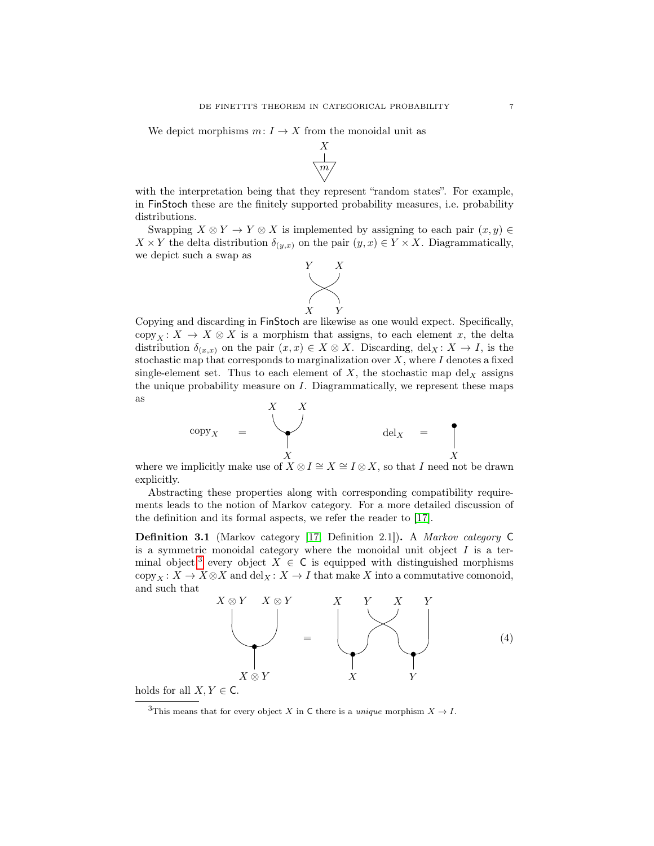<span id="page-7-1"></span>We depict morphisms  $m: I \to X$  from the monoidal unit as



with the interpretation being that they represent "random states". For example, in FinStoch these are the finitely supported probability measures, i.e. probability distributions.

Swapping  $X \otimes Y \to Y \otimes X$  is implemented by assigning to each pair  $(x, y) \in$  $X \times Y$  the delta distribution  $\delta_{(y,x)}$  on the pair  $(y, x) \in Y \times X$ . Diagrammatically, we depict such a swap as



Copying and discarding in FinStoch are likewise as one would expect. Specifically, copy<sub>X</sub>:  $X \to X \otimes X$  is a morphism that assigns, to each element x, the delta distribution  $\delta_{(x,x)}$  on the pair  $(x,x) \in X \otimes X$ . Discarding, del<sub>X</sub>:  $X \to I$ , is the stochastic map that corresponds to marginalization over  $X$ , where  $I$  denotes a fixed single-element set. Thus to each element of  $X$ , the stochastic map del<sub>X</sub> assigns the unique probability measure on I. Diagrammatically, we represent these maps as



 $X$ <br>where we implicitly make use of  $X \otimes I \cong X \cong I \otimes X$ , so that I need not be drawn explicitly.

Abstracting these properties along with corresponding compatibility requirements leads to the notion of Markov category. For a more detailed discussion of the definition and its formal aspects, we refer the reader to [\[17\]](#page-25-11).

Definition 3.1 (Markov category [\[17,](#page-25-11) Definition 2.1]). A Markov category C is a symmetric monoidal category where the monoidal unit object  $I$  is a ter-minal object,<sup>[3](#page-7-0)</sup> every object  $X \in \mathsf{C}$  is equipped with distinguished morphisms copy<sub>X</sub>:  $X \to X \otimes X$  and  $\text{del}_X : X \to I$  that make X into a commutative comonoid, and such that



holds for all  $X, Y \in \mathsf{C}$ .

<span id="page-7-0"></span><sup>&</sup>lt;sup>3</sup>This means that for every object X in C there is a *unique* morphism  $X \to I$ .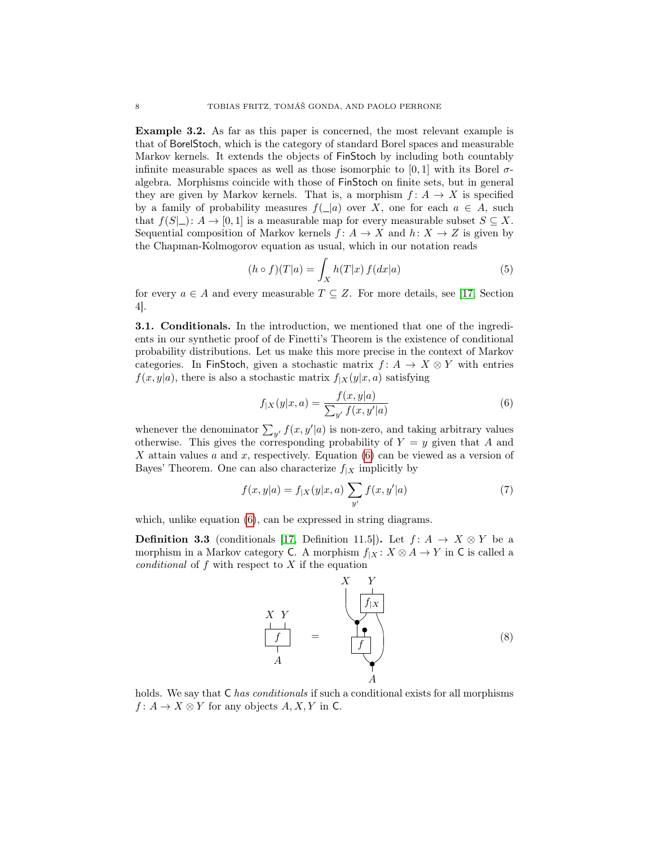<span id="page-8-2"></span>Example 3.2. As far as this paper is concerned, the most relevant example is that of BorelStoch, which is the category of standard Borel spaces and measurable Markov kernels. It extends the objects of FinStoch by including both countably infinite measurable spaces as well as those isomorphic to [0, 1] with its Borel  $\sigma$ algebra. Morphisms coincide with those of FinStoch on finite sets, but in general they are given by Markov kernels. That is, a morphism  $f: A \to X$  is specified by a family of probability measures  $f(\_a)$  over X, one for each  $a \in A$ , such that  $f(S|_n): A \to [0,1]$  is a measurable map for every measurable subset  $S \subseteq X$ . Sequential composition of Markov kernels  $f: A \to X$  and  $h: X \to Z$  is given by the Chapman-Kolmogorov equation as usual, which in our notation reads

$$
(h \circ f)(T|a) = \int_X h(T|x) f(dx|a)
$$
\n(5)

for every  $a \in A$  and every measurable  $T \subseteq Z$ . For more details, see [\[17,](#page-25-11) Section 4].

3.1. Conditionals. In the introduction, we mentioned that one of the ingredients in our synthetic proof of de Finetti's Theorem is the existence of conditional probability distributions. Let us make this more precise in the context of Markov categories. In FinStoch, given a stochastic matrix  $f: A \to X \otimes Y$  with entries  $f(x, y|a)$ , there is also a stochastic matrix  $f_{|X}(y|x, a)$  satisfying

<span id="page-8-0"></span>
$$
f_{|X}(y|x,a) = \frac{f(x,y|a)}{\sum_{y'} f(x,y'|a)}
$$
(6)

whenever the denominator  $\sum_{y'} f(x, y'|a)$  is non-zero, and taking arbitrary values otherwise. This gives the corresponding probability of  $Y = y$  given that A and X attain values a and x, respectively. Equation  $(6)$  can be viewed as a version of Bayes' Theorem. One can also characterize  $f_{|X}$  implicitly by

<span id="page-8-1"></span>
$$
f(x,y|a) = f_{|X}(y|x,a) \sum_{y'} f(x,y'|a)
$$
 (7)

which, unlike equation  $(6)$ , can be expressed in string diagrams.

**Definition 3.3** (conditionals [\[17,](#page-25-11) Definition 11.5]). Let  $f: A \rightarrow X \otimes Y$  be a morphism in a Markov category C. A morphism  $f_{|X}: X \otimes A \rightarrow Y$  in C is called a conditional of  $f$  with respect to  $X$  if the equation



holds. We say that  $C$  has conditionals if such a conditional exists for all morphisms  $f: A \to X \otimes Y$  for any objects  $A, X, Y$  in C.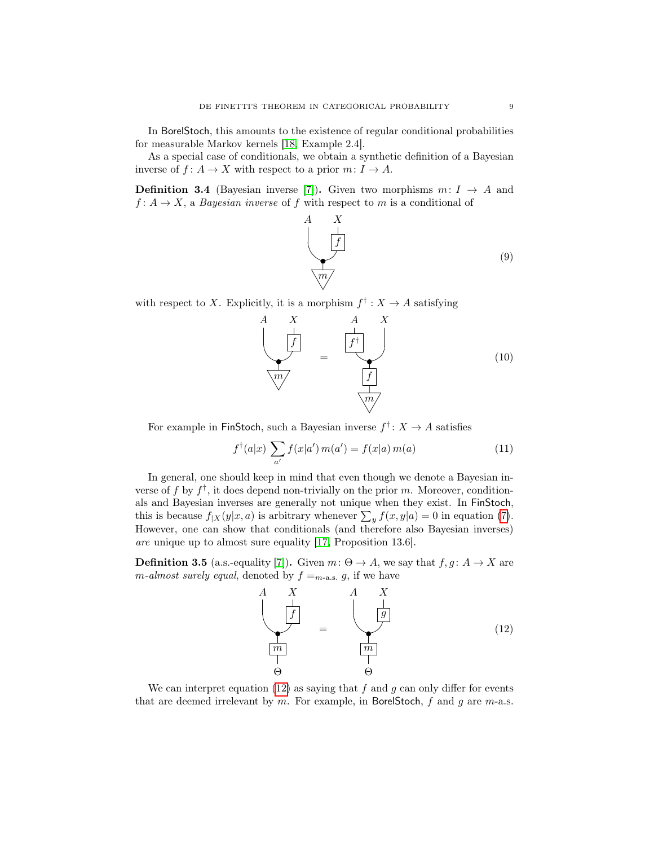<span id="page-9-1"></span>In BorelStoch, this amounts to the existence of regular conditional probabilities for measurable Markov kernels [\[18,](#page-25-13) Example 2.4].

As a special case of conditionals, we obtain a synthetic definition of a Bayesian inverse of  $f: A \to X$  with respect to a prior  $m: I \to A$ .

**Definition 3.4** (Bayesian inverse [\[7\]](#page-24-6)). Given two morphisms  $m: I \rightarrow A$  and  $f: A \to X$ , a *Bayesian inverse* of f with respect to m is a conditional of



with respect to X. Explicitly, it is a morphism  $f^{\dagger}: X \to A$  satisfying



For example in FinStoch, such a Bayesian inverse  $f^{\dagger}$ :  $X \to A$  satisfies

$$
f^{\dagger}(a|x) \sum_{a'} f(x|a') m(a') = f(x|a) m(a)
$$
 (11)

In general, one should keep in mind that even though we denote a Bayesian inverse of f by  $f^{\dagger}$ , it does depend non-trivially on the prior m. Moreover, conditionals and Bayesian inverses are generally not unique when they exist. In FinStoch, this is because  $f_{|X}(y|x, a)$  is arbitrary whenever  $\sum_{y} f(x, y|a) = 0$  in equation [\(7\)](#page-8-1). However, one can show that conditionals (and therefore also Bayesian inverses) are unique up to almost sure equality [\[17,](#page-25-11) Proposition 13.6].

**Definition 3.5** (a.s.-equality [\[7\]](#page-24-6)). Given  $m: \Theta \to A$ , we say that  $f, g: A \to X$  are m-almost surely equal, denoted by  $f =_{m-\text{a.s.}} g$ , if we have

<span id="page-9-0"></span>

We can interpret equation [\(12\)](#page-9-0) as saying that  $f$  and  $g$  can only differ for events that are deemed irrelevant by  $m$ . For example, in BorelStoch,  $f$  and  $g$  are  $m$ -a.s.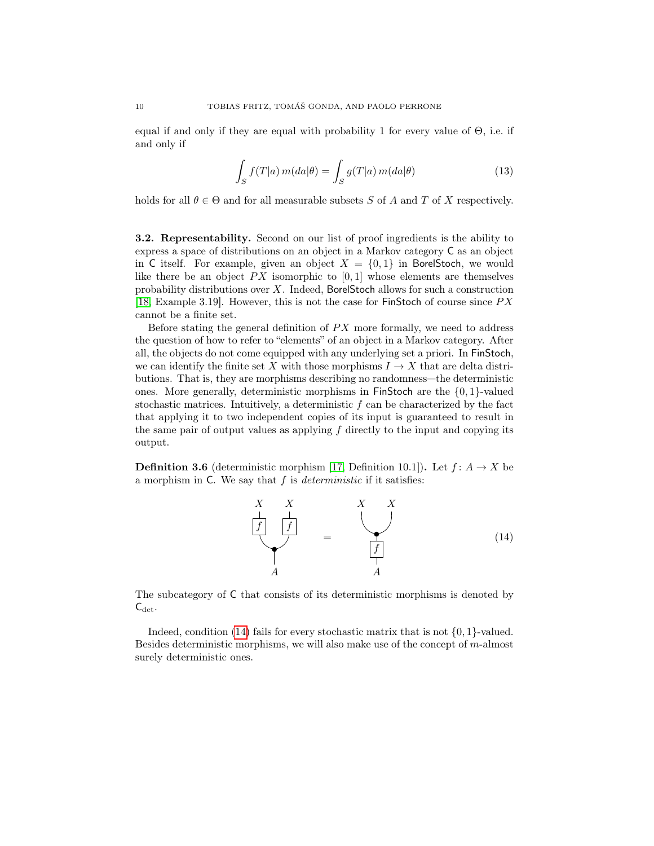<span id="page-10-2"></span>equal if and only if they are equal with probability 1 for every value of  $\Theta$ , i.e. if and only if

$$
\int_{S} f(T|a) m(da|\theta) = \int_{S} g(T|a) m(da|\theta)
$$
\n(13)

holds for all  $\theta \in \Theta$  and for all measurable subsets S of A and T of X respectively.

3.2. Representability. Second on our list of proof ingredients is the ability to express a space of distributions on an object in a Markov category C as an object in C itself. For example, given an object  $X = \{0,1\}$  in BorelStoch, we would like there be an object  $PX$  isomorphic to [0, 1] whose elements are themselves probability distributions over X. Indeed, BorelStoch allows for such a construction [\[18,](#page-25-13) Example 3.19]. However, this is not the case for FinStoch of course since  $PX$ cannot be a finite set.

Before stating the general definition of  $PX$  more formally, we need to address the question of how to refer to "elements" of an object in a Markov category. After all, the objects do not come equipped with any underlying set a priori. In FinStoch, we can identify the finite set X with those morphisms  $I \to X$  that are delta distributions. That is, they are morphisms describing no randomness—the deterministic ones. More generally, deterministic morphisms in FinStoch are the  $\{0, 1\}$ -valued stochastic matrices. Intuitively, a deterministic  $f$  can be characterized by the fact that applying it to two independent copies of its input is guaranteed to result in the same pair of output values as applying  $f$  directly to the input and copying its output.

<span id="page-10-1"></span>**Definition 3.6** (deterministic morphism [\[17,](#page-25-11) Definition 10.1]). Let  $f: A \rightarrow X$  be a morphism in  $C$ . We say that  $f$  is *deterministic* if it satisfies:

<span id="page-10-0"></span>

The subcategory of C that consists of its deterministic morphisms is denoted by  $C_{\det}$ .

Indeed, condition [\(14\)](#page-10-0) fails for every stochastic matrix that is not  $\{0, 1\}$ -valued. Besides deterministic morphisms, we will also make use of the concept of  $m$ -almost surely deterministic ones.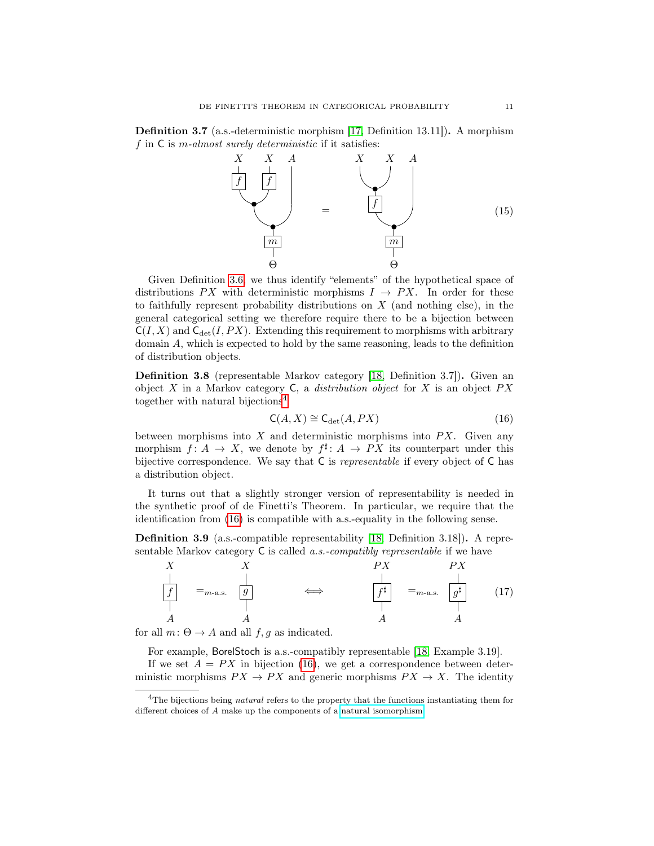<span id="page-11-3"></span>Definition 3.7 (a.s.-deterministic morphism [\[17,](#page-25-11) Definition 13.11]). A morphism f in  $\mathsf C$  is *m*-almost surely deterministic if it satisfies:



Given Definition [3.6,](#page-10-1) we thus identify "elements" of the hypothetical space of distributions PX with deterministic morphisms  $I \rightarrow PX$ . In order for these to faithfully represent probability distributions on  $X$  (and nothing else), in the general categorical setting we therefore require there to be a bijection between  $C(I, X)$  and  $C_{\text{det}}(I, PX)$ . Extending this requirement to morphisms with arbitrary domain A, which is expected to hold by the same reasoning, leads to the definition of distribution objects.

Definition 3.8 (representable Markov category [\[18,](#page-25-13) Definition 3.7]). Given an object  $X$  in a Markov category  $C$ , a *distribution object* for  $X$  is an object  $PX$ together with natural bijections<sup>[4](#page-11-0)</sup>

<span id="page-11-1"></span>
$$
C(A, X) \cong C_{\det}(A, PX) \tag{16}
$$

between morphisms into  $X$  and deterministic morphisms into  $PX$ . Given any morphism  $f: A \to X$ , we denote by  $f^{\sharp}: A \to PX$  its counterpart under this bijective correspondence. We say that C is representable if every object of C has a distribution object.

It turns out that a slightly stronger version of representability is needed in the synthetic proof of de Finetti's Theorem. In particular, we require that the identification from [\(16\)](#page-11-1) is compatible with a.s.-equality in the following sense.

<span id="page-11-2"></span>Definition 3.9 (a.s.-compatible representability [\[18,](#page-25-13) Definition 3.18]). A representable Markov category C is called a.s.-compatibly representable if we have



for all  $m: \Theta \rightarrow A$  and all  $f, g$  as indicated.

For example, BorelStoch is a.s.-compatibly representable [\[18,](#page-25-13) Example 3.19].

If we set  $A = PX$  in bijection [\(16\)](#page-11-1), we get a correspondence between deterministic morphisms  $PX \to PX$  and generic morphisms  $PX \to X$ . The identity

<span id="page-11-0"></span><sup>&</sup>lt;sup>4</sup>The bijections being *natural* refers to the property that the functions instantiating them for different choices of A make up the components of a [natural isomorphism.](https://ncatlab.org/nlab/show/natural+isomorphism)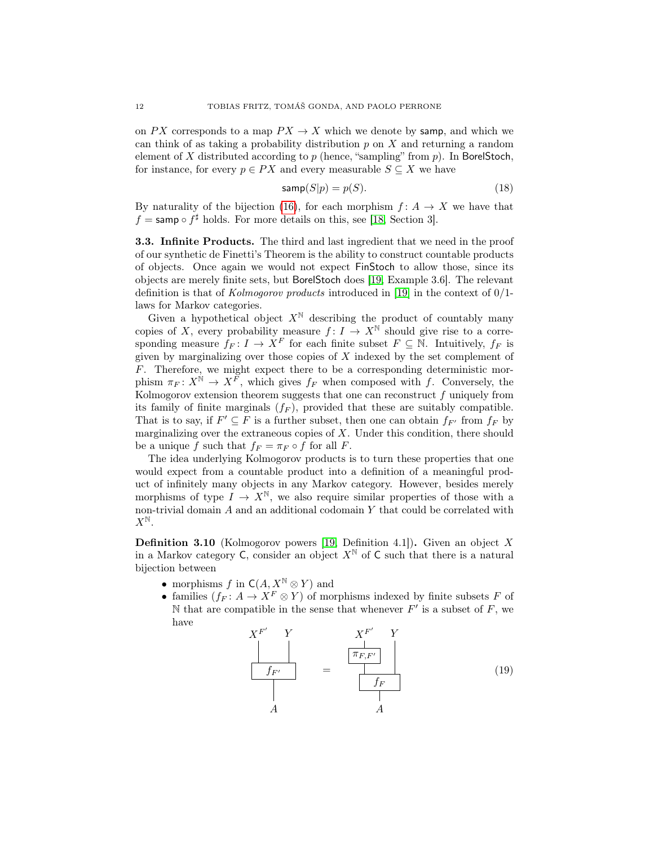<span id="page-12-1"></span>on PX corresponds to a map  $PX \to X$  which we denote by samp, and which we can think of as taking a probability distribution  $p$  on  $X$  and returning a random element of  $X$  distributed according to  $p$  (hence, "sampling" from  $p$ ). In BorelStoch, for instance, for every  $p \in PX$  and every measurable  $S \subseteq X$  we have

$$
\textsf{sample}(S|p) = p(S). \tag{18}
$$

By naturality of the bijection [\(16\)](#page-11-1), for each morphism  $f: A \rightarrow X$  we have that  $f = \textsf{sample} \circ f^{\sharp}$  holds. For more details on this, see [\[18,](#page-25-13) Section 3].

3.3. Infinite Products. The third and last ingredient that we need in the proof of our synthetic de Finetti's Theorem is the ability to construct countable products of objects. Once again we would not expect FinStoch to allow those, since its objects are merely finite sets, but BorelStoch does [\[19,](#page-25-12) Example 3.6]. The relevant definition is that of Kolmogorov products introduced in [\[19\]](#page-25-12) in the context of  $0/1$ laws for Markov categories.

Given a hypothetical object  $X^{\mathbb{N}}$  describing the product of countably many copies of X, every probability measure  $f: I \to X^{\mathbb{N}}$  should give rise to a corresponding measure  $f_F: I \to X^F$  for each finite subset  $F \subseteq \mathbb{N}$ . Intuitively,  $f_F$  is given by marginalizing over those copies of  $X$  indexed by the set complement of F. Therefore, we might expect there to be a corresponding deterministic morphism  $\pi_F \colon X^{\mathbb{N}} \to X^{\overline{F}}$ , which gives  $f_F$  when composed with f. Conversely, the Kolmogorov extension theorem suggests that one can reconstruct  $f$  uniquely from its family of finite marginals  $(f_F)$ , provided that these are suitably compatible. That is to say, if  $F' \subseteq F$  is a further subset, then one can obtain  $f_{F'}$  from  $f_F$  by marginalizing over the extraneous copies of  $X$ . Under this condition, there should be a unique f such that  $f_F = \pi_F \circ f$  for all F.

The idea underlying Kolmogorov products is to turn these properties that one would expect from a countable product into a definition of a meaningful product of infinitely many objects in any Markov category. However, besides merely morphisms of type  $I \to X^{\mathbb{N}}$ , we also require similar properties of those with a non-trivial domain  $A$  and an additional codomain  $Y$  that could be correlated with  $X^{\mathbb{N}}.$ 

<span id="page-12-0"></span>**Definition 3.10** (Kolmogorov powers [\[19,](#page-25-12) Definition 4.1]). Given an object  $X$ in a Markov category C, consider an object  $X^{\mathbb{N}}$  of C such that there is a natural bijection between

- morphisms f in  $C(A, X^{\mathbb{N}} \otimes Y)$  and
- families  $(f_F: A \to X^F \otimes Y)$  of morphisms indexed by finite subsets F of N that are compatible in the sense that whenever  $F'$  is a subset of  $F$ , we have

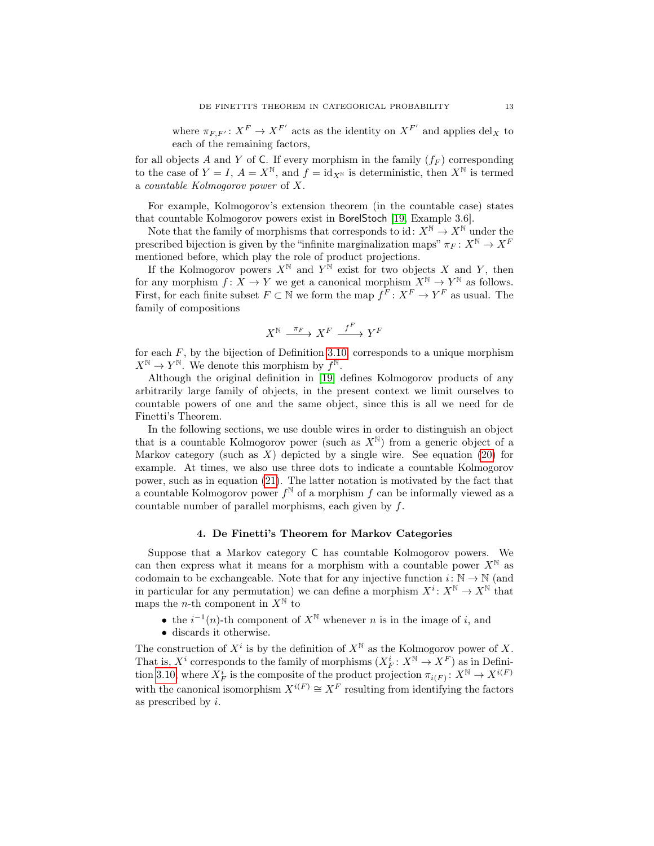<span id="page-13-1"></span>where  $\pi_{F,F'} : X^F \to X^{F'}$  acts as the identity on  $X^{F'}$  and applies  $\text{del}_X$  to each of the remaining factors,

for all objects A and Y of C. If every morphism in the family  $(f_F)$  corresponding to the case of  $Y = I$ ,  $A = X^{\mathbb{N}}$ , and  $f = id_{X^{\mathbb{N}}}$  is deterministic, then  $X^{\mathbb{N}}$  is termed a countable Kolmogorov power of X.

For example, Kolmogorov's extension theorem (in the countable case) states that countable Kolmogorov powers exist in BorelStoch [\[19,](#page-25-12) Example 3.6].

Note that the family of morphisms that corresponds to id:  $X^{\mathbb{N}} \to X^{\mathbb{N}}$  under the prescribed bijection is given by the "infinite marginalization maps"  $\pi_F : X^{\mathbb{N}} \to X^F$ mentioned before, which play the role of product projections.

If the Kolmogorov powers  $X^{\mathbb{N}}$  and  $Y^{\mathbb{N}}$  exist for two objects X and Y, then for any morphism  $f: X \to Y$  we get a canonical morphism  $X^{\mathbb{N}} \to Y^{\mathbb{N}}$  as follows. First, for each finite subset  $F \subset \mathbb{N}$  we form the map  $f^F: X^F \to Y^F$  as usual. The family of compositions

$$
X^{\mathbb{N}} \xrightarrow{\pi_F} X^F \xrightarrow{f^F} Y^F
$$

for each  $F$ , by the bijection of Definition [3.10,](#page-12-0) corresponds to a unique morphism  $X^{\mathbb{N}} \to Y^{\mathbb{N}}$ . We denote this morphism by  $f^{\mathbb{N}}$ .

Although the original definition in [\[19\]](#page-25-12) defines Kolmogorov products of any arbitrarily large family of objects, in the present context we limit ourselves to countable powers of one and the same object, since this is all we need for de Finetti's Theorem.

In the following sections, we use double wires in order to distinguish an object that is a countable Kolmogorov power (such as  $X^{\mathbb{N}}$ ) from a generic object of a Markov category (such as  $X$ ) depicted by a single wire. See equation [\(20\)](#page-14-1) for example. At times, we also use three dots to indicate a countable Kolmogorov power, such as in equation [\(21\)](#page-14-2). The latter notation is motivated by the fact that a countable Kolmogorov power  $f^{\mathbb{N}}$  of a morphism f can be informally viewed as a countable number of parallel morphisms, each given by  $f$ .

#### 4. De Finetti's Theorem for Markov Categories

<span id="page-13-0"></span>Suppose that a Markov category C has countable Kolmogorov powers. We can then express what it means for a morphism with a countable power  $X^{\mathbb{N}}$  as codomain to be exchangeable. Note that for any injective function  $i: \mathbb{N} \to \mathbb{N}$  (and in particular for any permutation) we can define a morphism  $X^i: X^{\mathbb{N}} \to X^{\mathbb{N}}$  that maps the *n*-th component in  $X^{\mathbb{N}}$  to

• the  $i^{-1}(n)$ -th component of  $X^{\mathbb{N}}$  whenever n is in the image of i, and

• discards it otherwise.

The construction of  $X^i$  is by the definition of  $X^{\mathbb{N}}$  as the Kolmogorov power of X. That is,  $X^i$  corresponds to the family of morphisms  $(X_F^i: X^{\mathbb{N}} \to X^F)$  as in Defini-tion [3.10,](#page-12-0) where  $X_F^i$  is the composite of the product projection  $\pi_{i(F)}: X^{\mathbb{N}} \to X^{i(F)}$ with the canonical isomorphism  $X^{i(F)} \cong X^F$  resulting from identifying the factors as prescribed by i.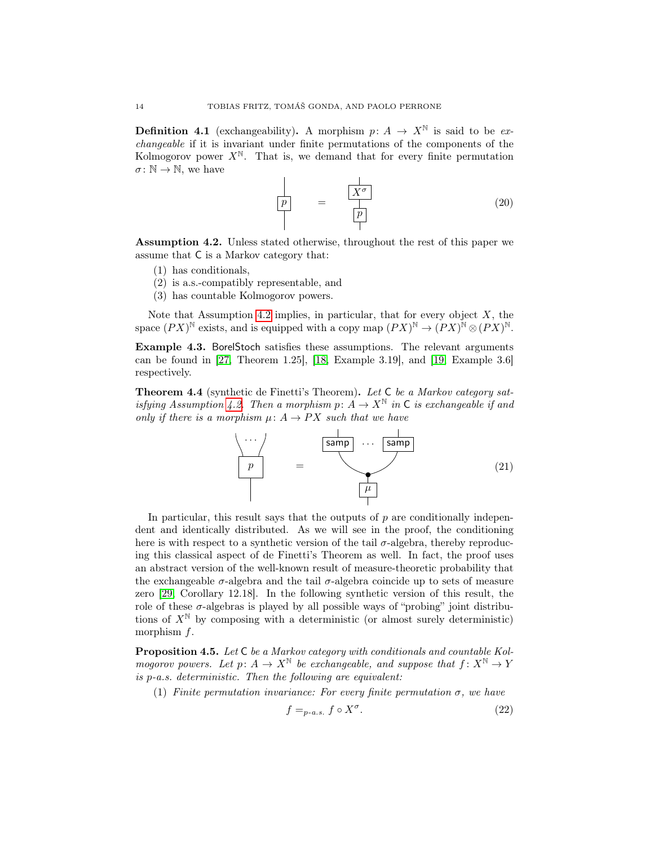<span id="page-14-6"></span>**Definition 4.1** (exchangeability). A morphism  $p: A \to X^{\mathbb{N}}$  is said to be exchangeable if it is invariant under finite permutations of the components of the Kolmogorov power  $X^{\mathbb{N}}$ . That is, we demand that for every finite permutation  $\sigma \colon \mathbb{N} \to \mathbb{N}$ , we have

<span id="page-14-1"></span>
$$
\frac{p}{p} = \frac{\frac{1}{X^{\sigma}}}{\left|\frac{p}{p}\right|} \tag{20}
$$

<span id="page-14-0"></span>Assumption 4.2. Unless stated otherwise, throughout the rest of this paper we assume that C is a Markov category that:

- (1) has conditionals,
- (2) is a.s.-compatibly representable, and
- (3) has countable Kolmogorov powers.

Note that Assumption [4.2](#page-14-0) implies, in particular, that for every object  $X$ , the space  $(PX)^{\mathbb{N}}$  exists, and is equipped with a copy map  $(PX)^{\mathbb{N}} \to (PX)^{\mathbb{N}} \otimes (PX)^{\mathbb{N}}$ .

Example 4.3. BorelStoch satisfies these assumptions. The relevant arguments can be found in [\[27,](#page-25-19) Theorem 1.25], [\[18,](#page-25-13) Example 3.19], and [\[19,](#page-25-12) Example 3.6] respectively.

<span id="page-14-3"></span>Theorem 4.4 (synthetic de Finetti's Theorem). Let C be a Markov category sat-isfying Assumption [4.2.](#page-14-0) Then a morphism p:  $A \to X^{\mathbb{N}}$  in C is exchangeable if and only if there is a morphism  $\mu: A \to PX$  such that we have

<span id="page-14-2"></span>

In particular, this result says that the outputs of  $p$  are conditionally independent and identically distributed. As we will see in the proof, the conditioning here is with respect to a synthetic version of the tail  $\sigma$ -algebra, thereby reproducing this classical aspect of de Finetti's Theorem as well. In fact, the proof uses an abstract version of the well-known result of measure-theoretic probability that the exchangeable  $\sigma$ -algebra and the tail  $\sigma$ -algebra coincide up to sets of measure zero [\[29,](#page-25-6) Corollary 12.18]. In the following synthetic version of this result, the role of these  $\sigma$ -algebras is played by all possible ways of "probing" joint distributions of  $X^{\mathbb{N}}$  by composing with a deterministic (or almost surely deterministic) morphism f.

<span id="page-14-4"></span>Proposition 4.5. Let C be a Markov category with conditionals and countable Kolmogorov powers. Let  $p: A \to X^{\mathbb{N}}$  be exchangeable, and suppose that  $f: X^{\mathbb{N}} \to Y$ is p-a.s. deterministic. Then the following are equivalent:

(1) Finite permutation invariance: For every finite permutation  $\sigma$ , we have

<span id="page-14-5"></span>
$$
f =_{p-a.s.} f \circ X^{\sigma}.
$$
 (22)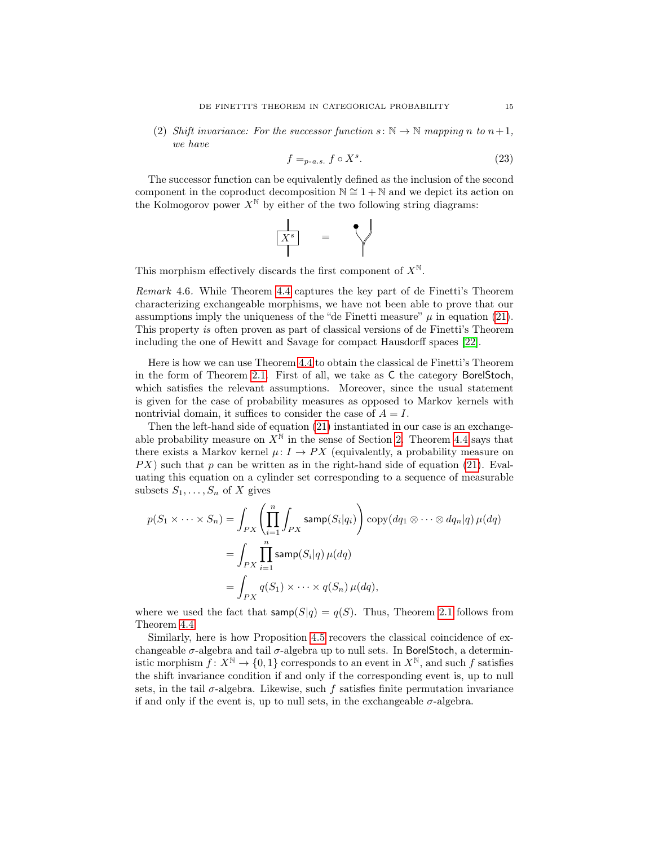<span id="page-15-1"></span>(2) Shift invariance: For the successor function  $s: \mathbb{N} \to \mathbb{N}$  mapping n to  $n+1$ , we have

<span id="page-15-0"></span>
$$
f =_{p-a.s.} f \circ X^s. \tag{23}
$$

The successor function can be equivalently defined as the inclusion of the second component in the coproduct decomposition  $\mathbb{N} \cong 1 + \mathbb{N}$  and we depict its action on the Kolmogorov power  $X^{\mathbb{N}}$  by either of the two following string diagrams:

$$
\begin{array}{c|c}\n\hline\nX^s & = & \n\end{array}
$$

This morphism effectively discards the first component of  $X^{\mathbb{N}}$ .

Remark 4.6. While Theorem [4.4](#page-14-3) captures the key part of de Finetti's Theorem characterizing exchangeable morphisms, we have not been able to prove that our assumptions imply the uniqueness of the "de Finetti measure"  $\mu$  in equation [\(21\)](#page-14-2). This property is often proven as part of classical versions of de Finetti's Theorem including the one of Hewitt and Savage for compact Hausdorff spaces [\[22\]](#page-25-4).

Here is how we can use Theorem [4.4](#page-14-3) to obtain the classical de Finetti's Theorem in the form of Theorem [2.1.](#page-5-1) First of all, we take as C the category BorelStoch, which satisfies the relevant assumptions. Moreover, since the usual statement is given for the case of probability measures as opposed to Markov kernels with nontrivial domain, it suffices to consider the case of  $A = I$ .

Then the left-hand side of equation [\(21\)](#page-14-2) instantiated in our case is an exchangeable probability measure on  $X^{\mathbb{N}}$  in the sense of Section [2.](#page-4-0) Theorem [4.4](#page-14-3) says that there exists a Markov kernel  $\mu: I \to PX$  (equivalently, a probability measure on  $PX$ ) such that p can be written as in the right-hand side of equation [\(21\)](#page-14-2). Evaluating this equation on a cylinder set corresponding to a sequence of measurable subsets  $S_1, \ldots, S_n$  of X gives

$$
p(S_1 \times \cdots \times S_n) = \int_{PX} \left( \prod_{i=1}^n \int_{PX} \operatorname{simp}(S_i|q_i) \right) \operatorname{copy}(dq_1 \otimes \cdots \otimes dq_n|q) \mu(dq)
$$
  
= 
$$
\int_{PX} \prod_{i=1}^n \operatorname{simp}(S_i|q) \mu(dq)
$$
  
= 
$$
\int_{PX} q(S_1) \times \cdots \times q(S_n) \mu(dq),
$$

where we used the fact that  $\textsf{sample}(S|q) = q(S)$ . Thus, Theorem [2.1](#page-5-1) follows from Theorem [4.4.](#page-14-3)

Similarly, here is how Proposition [4.5](#page-14-4) recovers the classical coincidence of exchangeable  $\sigma$ -algebra and tail  $\sigma$ -algebra up to null sets. In BorelStoch, a deterministic morphism  $f: X^{\mathbb{N}} \to \{0,1\}$  corresponds to an event in  $X^{\mathbb{N}}$ , and such f satisfies the shift invariance condition if and only if the corresponding event is, up to null sets, in the tail  $\sigma$ -algebra. Likewise, such f satisfies finite permutation invariance if and only if the event is, up to null sets, in the exchangeable  $\sigma$ -algebra.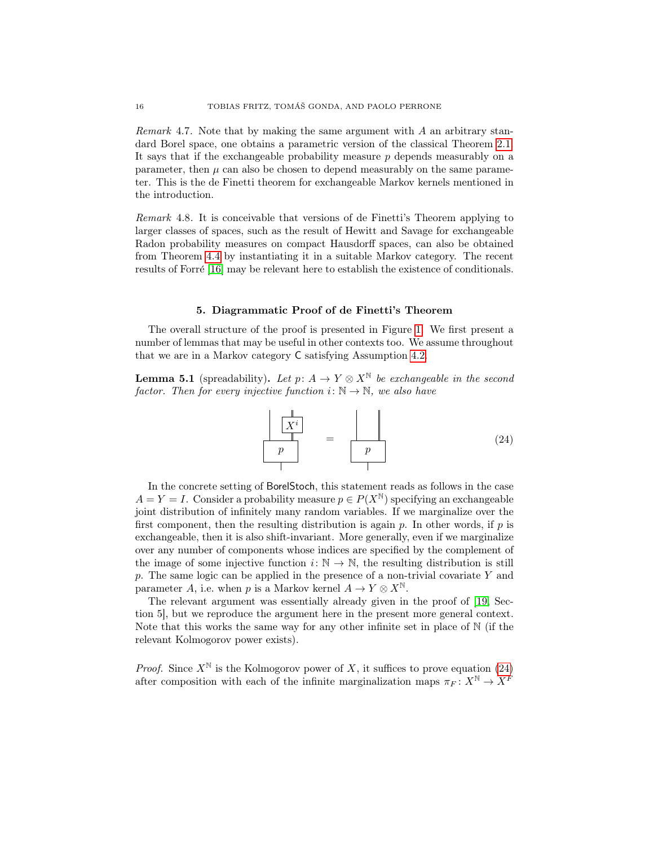<span id="page-16-3"></span>*Remark* 4.7. Note that by making the same argument with  $\tilde{A}$  an arbitrary standard Borel space, one obtains a parametric version of the classical Theorem [2.1.](#page-5-1) It says that if the exchangeable probability measure  $p$  depends measurably on a parameter, then  $\mu$  can also be chosen to depend measurably on the same parameter. This is the de Finetti theorem for exchangeable Markov kernels mentioned in the introduction.

Remark 4.8. It is conceivable that versions of de Finetti's Theorem applying to larger classes of spaces, such as the result of Hewitt and Savage for exchangeable Radon probability measures on compact Hausdorff spaces, can also be obtained from Theorem [4.4](#page-14-3) by instantiating it in a suitable Markov category. The recent results of Forré [\[16\]](#page-25-20) may be relevant here to establish the existence of conditionals.

#### 5. Diagrammatic Proof of de Finetti's Theorem

<span id="page-16-0"></span>The overall structure of the proof is presented in Figure [1.](#page-17-0) We first present a number of lemmas that may be useful in other contexts too. We assume throughout that we are in a Markov category C satisfying Assumption [4.2.](#page-14-0)

<span id="page-16-2"></span>**Lemma 5.1** (spreadability). Let  $p: A \to Y \otimes X^{\mathbb{N}}$  be exchangeable in the second factor. Then for every injective function  $i: \mathbb{N} \to \mathbb{N}$ , we also have

<span id="page-16-1"></span>

In the concrete setting of BorelStoch, this statement reads as follows in the case  $A = Y = I$ . Consider a probability measure  $p \in P(X^{\mathbb{N}})$  specifying an exchangeable joint distribution of infinitely many random variables. If we marginalize over the first component, then the resulting distribution is again  $p$ . In other words, if  $p$  is exchangeable, then it is also shift-invariant. More generally, even if we marginalize over any number of components whose indices are specified by the complement of the image of some injective function  $i: \mathbb{N} \to \mathbb{N}$ , the resulting distribution is still p. The same logic can be applied in the presence of a non-trivial covariate  $Y$  and parameter A, i.e. when p is a Markov kernel  $A \to Y \otimes X^{\mathbb{N}}$ .

The relevant argument was essentially already given in the proof of [\[19,](#page-25-12) Section 5], but we reproduce the argument here in the present more general context. Note that this works the same way for any other infinite set in place of  $\mathbb N$  (if the relevant Kolmogorov power exists).

*Proof.* Since  $X^{\mathbb{N}}$  is the Kolmogorov power of X, it suffices to prove equation [\(24\)](#page-16-1) after composition with each of the infinite marginalization maps  $\pi_F : X^{\mathbb{N}} \to X^{\overline{F}}$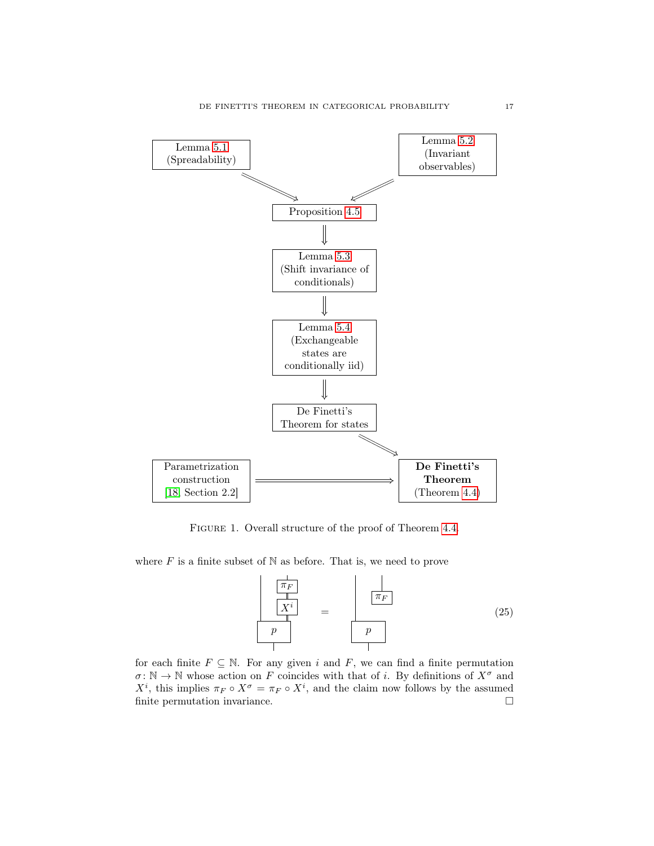<span id="page-17-1"></span>

<span id="page-17-0"></span>FIGURE 1. Overall structure of the proof of Theorem [4.4.](#page-14-3)

where  $F$  is a finite subset of  $N$  as before. That is, we need to prove

$$
\begin{array}{|c|c|}\n\hline\n\pi_F \\
\hline\nX^i \\
p\n\end{array} = \begin{array}{|c|c|}\n\hline\n\pi_F \\
\hline\n\pi_F \\
p\n\end{array} \tag{25}
$$

for each finite  $F \subseteq \mathbb{N}$ . For any given i and F, we can find a finite permutation  $\sigma: \mathbb{N} \to \mathbb{N}$  whose action on F coincides with that of i. By definitions of  $X^{\sigma}$  and  $X^i$ , this implies  $\pi_F \circ X^{\sigma} = \pi_F \circ X^i$ , and the claim now follows by the assumed finite permutation invariance.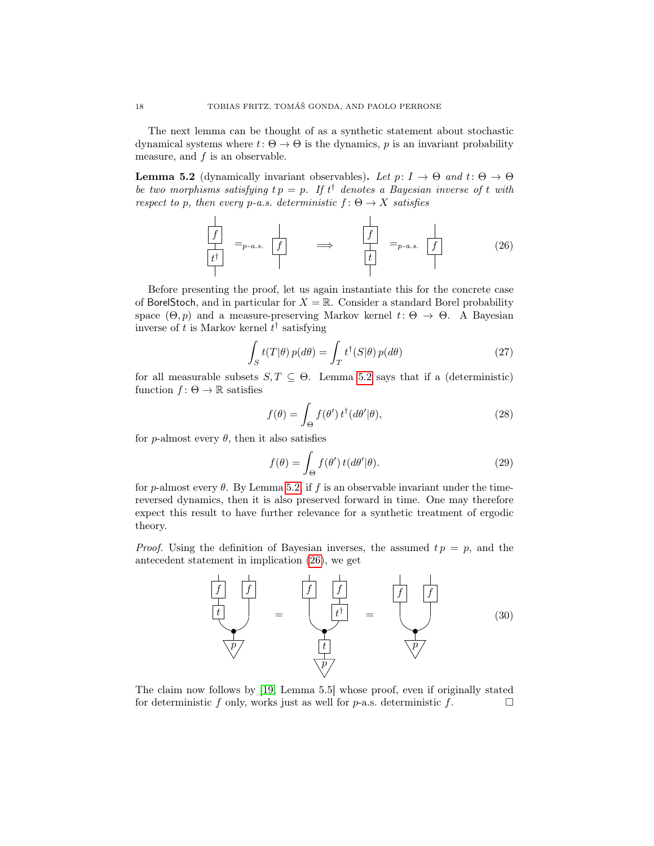<span id="page-18-2"></span>The next lemma can be thought of as a synthetic statement about stochastic dynamical systems where  $t: \Theta \to \Theta$  is the dynamics, p is an invariant probability measure, and  $f$  is an observable.

<span id="page-18-0"></span>**Lemma 5.2** (dynamically invariant observables). Let  $p: I \rightarrow \Theta$  and  $t: \Theta \rightarrow \Theta$ be two morphisms satisfying  $tp = p$ . If  $t^{\dagger}$  denotes a Bayesian inverse of t with respect to p, then every p-a.s. deterministic  $f: \Theta \to X$  satisfies

<span id="page-18-1"></span>f t † f f t =p-a.s. =⇒ =p-a.s. f (26)

Before presenting the proof, let us again instantiate this for the concrete case of BorelStoch, and in particular for  $X = \mathbb{R}$ . Consider a standard Borel probability space  $(\Theta, p)$  and a measure-preserving Markov kernel  $t: \Theta \to \Theta$ . A Bayesian inverse of t is Markov kernel  $t^{\dagger}$  satisfying

$$
\int_{S} t(T|\theta) p(d\theta) = \int_{T} t^{\dagger} (S|\theta) p(d\theta)
$$
\n(27)

for all measurable subsets  $S, T \subseteq \Theta$ . Lemma [5.2](#page-18-0) says that if a (deterministic) function  $f: \Theta \to \mathbb{R}$  satisfies

$$
f(\theta) = \int_{\Theta} f(\theta') \, t^{\dagger} (d\theta' | \theta), \tag{28}
$$

for *p*-almost every  $\theta$ , then it also satisfies

$$
f(\theta) = \int_{\Theta} f(\theta') \, t(d\theta'|\theta). \tag{29}
$$

for p-almost every  $\theta$ . By Lemma [5.2,](#page-18-0) if f is an observable invariant under the timereversed dynamics, then it is also preserved forward in time. One may therefore expect this result to have further relevance for a synthetic treatment of ergodic theory.

*Proof.* Using the definition of Bayesian inverses, the assumed  $tp = p$ , and the antecedent statement in implication [\(26\)](#page-18-1), we get



The claim now follows by [\[19,](#page-25-12) Lemma 5.5] whose proof, even if originally stated for deterministic f only, works just as well for  $p$ -a.s. deterministic f.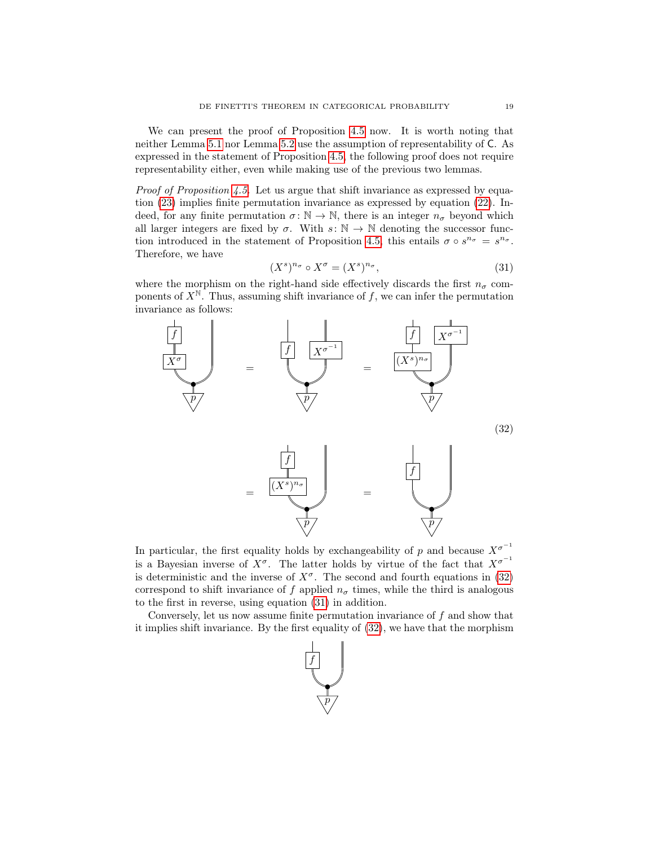We can present the proof of Proposition [4.5](#page-14-4) now. It is worth noting that neither Lemma [5.1](#page-16-2) nor Lemma [5.2](#page-18-0) use the assumption of representability of C. As expressed in the statement of Proposition [4.5,](#page-14-4) the following proof does not require representability either, even while making use of the previous two lemmas.

*Proof of Proposition [4.5.](#page-14-4)* Let us argue that shift invariance as expressed by equation [\(23\)](#page-15-0) implies finite permutation invariance as expressed by equation [\(22\)](#page-14-5). Indeed, for any finite permutation  $\sigma \colon \mathbb{N} \to \mathbb{N}$ , there is an integer  $n_{\sigma}$  beyond which all larger integers are fixed by  $\sigma$ . With  $s: \mathbb{N} \to \mathbb{N}$  denoting the successor func-tion introduced in the statement of Proposition [4.5,](#page-14-4) this entails  $\sigma \circ s^{n_{\sigma}} = s^{n_{\sigma}}$ . Therefore, we have

<span id="page-19-1"></span>
$$
(X^s)^{n_\sigma} \circ X^\sigma = (X^s)^{n_\sigma},\tag{31}
$$

where the morphism on the right-hand side effectively discards the first  $n_{\sigma}$  components of  $X^{\mathbb{N}}$ . Thus, assuming shift invariance of f, we can infer the permutation invariance as follows:

<span id="page-19-0"></span>

In particular, the first equality holds by exchangeability of p and because  $X^{\sigma^{-1}}$ is a Bayesian inverse of  $X^{\sigma}$ . The latter holds by virtue of the fact that  $X^{\sigma^{-1}}$ is deterministic and the inverse of  $X^{\sigma}$ . The second and fourth equations in [\(32\)](#page-19-0) correspond to shift invariance of f applied  $n<sub>\sigma</sub>$  times, while the third is analogous to the first in reverse, using equation [\(31\)](#page-19-1) in addition.

Conversely, let us now assume finite permutation invariance of  $f$  and show that it implies shift invariance. By the first equality of [\(32\)](#page-19-0), we have that the morphism

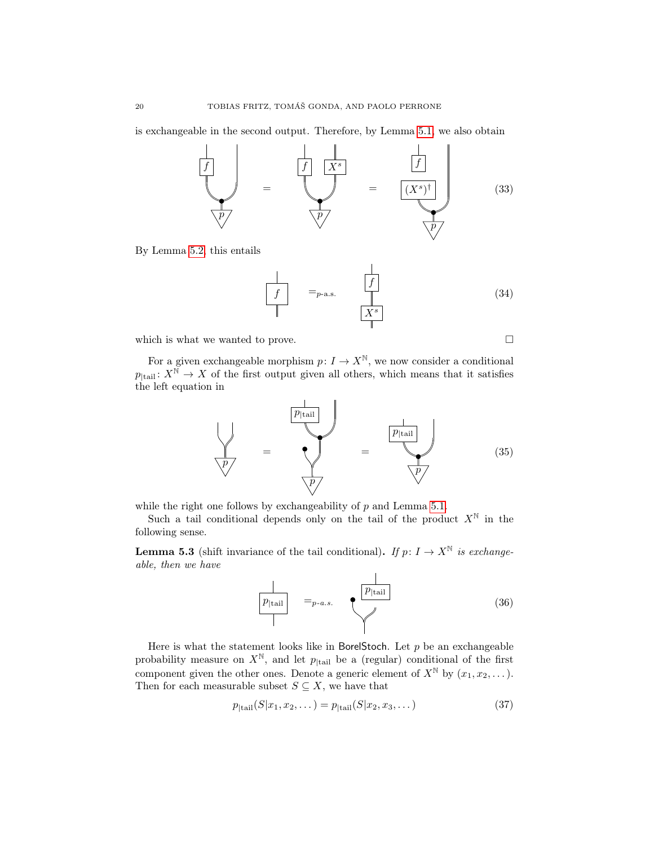is exchangeable in the second output. Therefore, by Lemma [5.1,](#page-16-2) we also obtain



By Lemma [5.2,](#page-18-0) this entails

$$
\begin{array}{|c|c|}\n\hline\nf & =_{p-\text{a.s.}} & \boxed{f} \\
\hline\n\end{array} \tag{34}
$$

which is what we wanted to prove.  $\hfill \square$ 

For a given exchangeable morphism  $p: I \to X^{\mathbb{N}}$ , we now consider a conditional  $p_{\text{tail}}: X^{\mathbb{N}} \to X$  of the first output given all others, which means that it satisfies the left equation in

<span id="page-20-1"></span>

while the right one follows by exchangeability of  $p$  and Lemma [5.1.](#page-16-2)

Such a tail conditional depends only on the tail of the product  $X^{\mathbb{N}}$  in the following sense.

<span id="page-20-0"></span>**Lemma 5.3** (shift invariance of the tail conditional). If  $p: I \to X^{\mathbb{N}}$  is exchangeable, then we have

$$
\boxed{\frac{p_{\text{tail}}}{p_{\text{tail}}}} =_{p-a.s.} \qquad \qquad \boxed{\frac{p_{\text{tail}}}{p_{\text{tail}}}}
$$
\n(36)

Here is what the statement looks like in BorelStoch. Let  $p$  be an exchangeable probability measure on  $X^N$ , and let  $p_{\text{[tail]}}$  be a (regular) conditional of the first component given the other ones. Denote a generic element of  $X^{\mathbb{N}}$  by  $(x_1, x_2, \dots)$ . Then for each measurable subset  $S \subseteq X,$  we have that

$$
p_{\text{[tail}}(S|x_1, x_2, \dots) = p_{\text{[tail}}(S|x_2, x_3, \dots) \tag{37}
$$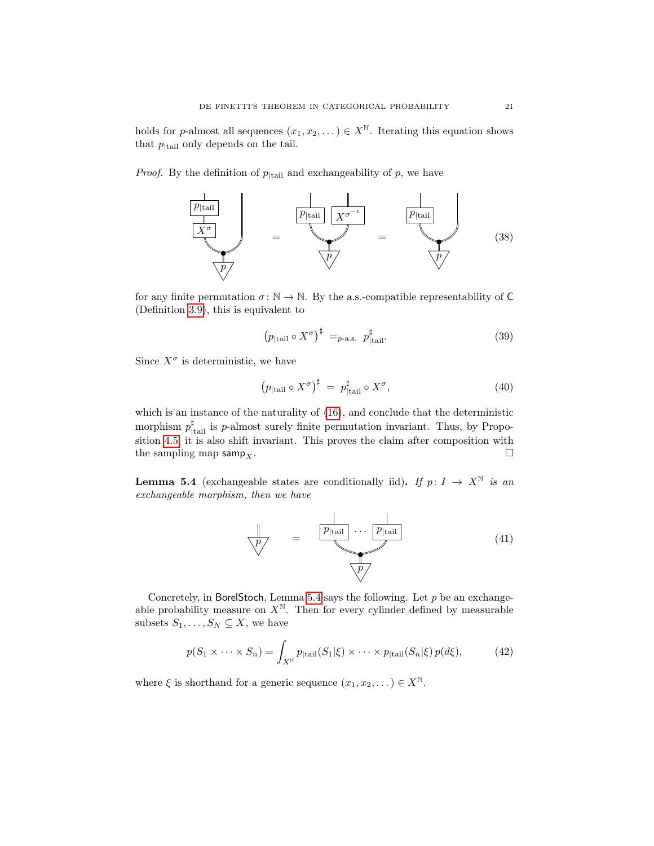holds for p-almost all sequences  $(x_1, x_2, ...) \in X^{\mathbb{N}}$ . Iterating this equation shows that  $p_{\text{tail}}$  only depends on the tail.

*Proof.* By the definition of  $p_{\text{[tail]}}$  and exchangeability of p, we have



for any finite permutation  $\sigma : \mathbb{N} \to \mathbb{N}$ . By the a.s.-compatible representability of C (Definition [3.9\)](#page-11-2), this is equivalent to

$$
\left(p_{\text{tail}} \circ X^{\sigma}\right)^{\sharp} =_{p\text{-a.s.}} p_{\text{tail}}^{\sharp}.
$$
\n(39)

Since  $X^{\sigma}$  is deterministic, we have

$$
\left(p_{\text{tail}} \circ X^{\sigma}\right)^{\sharp} = p_{\text{tail}}^{\sharp} \circ X^{\sigma},\tag{40}
$$

which is an instance of the naturality of  $(16)$ , and conclude that the deterministic morphism  $p_{\text{tail}}^{\sharp}$  is p-almost surely finite permutation invariant. Thus, by Proposition [4.5,](#page-14-4) it is also shift invariant. This proves the claim after composition with the sampling map samp<sub>x</sub>.

<span id="page-21-0"></span>**Lemma 5.4** (exchangeable states are conditionally iid). If  $p: I \rightarrow X^{\mathbb{N}}$  is an exchangeable morphism, then we have



Concretely, in BorelStoch, Lemma [5.4](#page-21-0) says the following. Let  $p$  be an exchangeable probability measure on  $X^{\mathbb{N}}$ . Then for every cylinder defined by measurable subsets  $S_1, \ldots, S_N \subseteq X$ , we have

$$
p(S_1 \times \cdots \times S_n) = \int_{X^{\mathbb{N}}} p_{\text{[tail}}(S_1 | \xi) \times \cdots \times p_{\text{[tail}}(S_n | \xi) p(d\xi), \tag{42}
$$

where  $\xi$  is shorthand for a generic sequence  $(x_1, x_2, \dots) \in X^{\mathbb{N}}$ .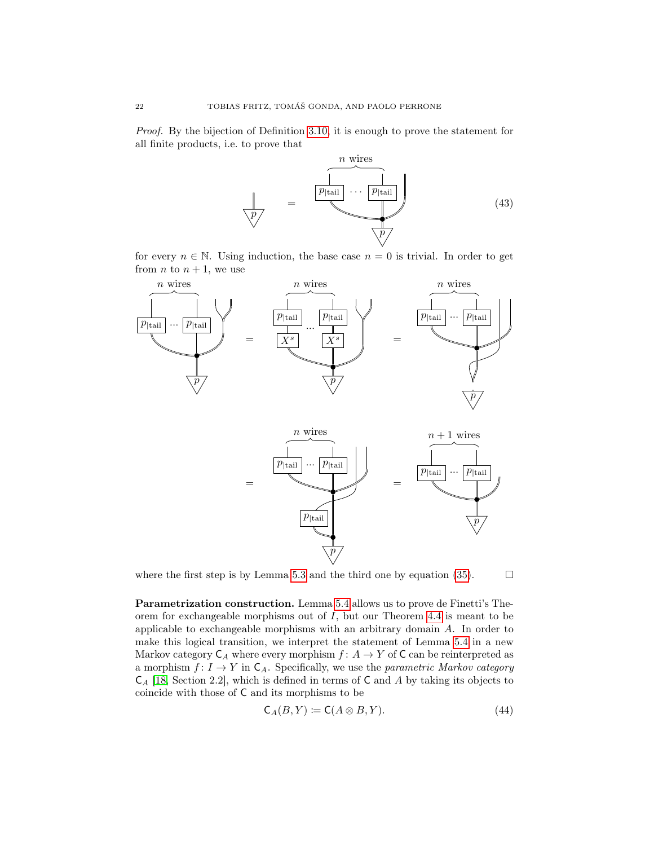<span id="page-22-0"></span>Proof. By the bijection of Definition [3.10,](#page-12-0) it is enough to prove the statement for all finite products, i.e. to prove that



for every  $n \in \mathbb{N}$ . Using induction, the base case  $n = 0$  is trivial. In order to get from *n* to  $n + 1$ , we use



where the first step is by Lemma [5.3](#page-20-0) and the third one by equation [\(35\)](#page-20-1).  $\Box$ 

Parametrization construction. Lemma [5.4](#page-21-0) allows us to prove de Finetti's Theorem for exchangeable morphisms out of  $I$ , but our Theorem [4.4](#page-14-3) is meant to be applicable to exchangeable morphisms with an arbitrary domain A. In order to make this logical transition, we interpret the statement of Lemma [5.4](#page-21-0) in a new Markov category  $C_A$  where every morphism  $f: A \to Y$  of C can be reinterpreted as a morphism  $f: I \to Y$  in  $C_A$ . Specifically, we use the *parametric Markov category*  $C_A$  [\[18,](#page-25-13) Section 2.2], which is defined in terms of C and A by taking its objects to coincide with those of C and its morphisms to be

$$
\mathsf{C}_A(B, Y) \coloneqq \mathsf{C}(A \otimes B, Y). \tag{44}
$$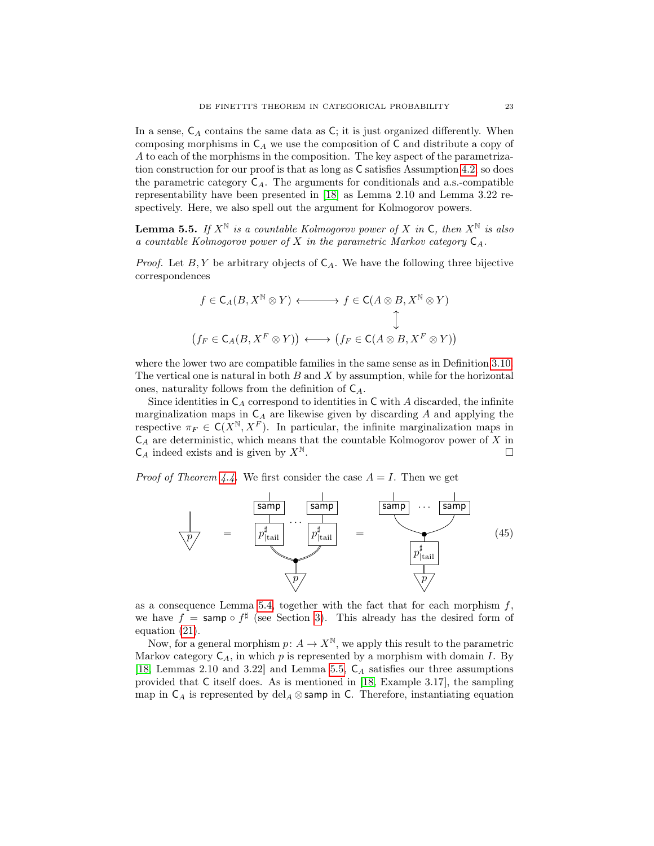<span id="page-23-2"></span>In a sense,  $C_A$  contains the same data as  $C$ ; it is just organized differently. When composing morphisms in  $C_A$  we use the composition of C and distribute a copy of A to each of the morphisms in the composition. The key aspect of the parametrization construction for our proof is that as long as C satisfies Assumption [4.2,](#page-14-0) so does the parametric category  $C_A$ . The arguments for conditionals and a.s.-compatible representability have been presented in [\[18\]](#page-25-13) as Lemma 2.10 and Lemma 3.22 respectively. Here, we also spell out the argument for Kolmogorov powers.

<span id="page-23-0"></span>**Lemma 5.5.** If  $X^{\mathbb{N}}$  is a countable Kolmogorov power of X in C, then  $X^{\mathbb{N}}$  is also a countable Kolmogorov power of X in the parametric Markov category  $C_A$ .

*Proof.* Let  $B, Y$  be arbitrary objects of  $C_A$ . We have the following three bijective correspondences

$$
f \in C_A(B, X^{\mathbb{N}} \otimes Y) \longleftrightarrow f \in C(A \otimes B, X^{\mathbb{N}} \otimes Y)
$$
  

$$
\updownarrow
$$
  

$$
(f_F \in C_A(B, X^F \otimes Y)) \longleftrightarrow (f_F \in C(A \otimes B, X^F \otimes Y))
$$

where the lower two are compatible families in the same sense as in Definition [3.10.](#page-12-0) The vertical one is natural in both  $B$  and  $X$  by assumption, while for the horizontal ones, naturality follows from the definition of  $C_A$ .

Since identities in  $C_A$  correspond to identities in C with A discarded, the infinite marginalization maps in  $C_A$  are likewise given by discarding A and applying the respective  $\pi_F \in \mathsf{C}(X^{\mathbb{N}}, X^F)$ . In particular, the infinite marginalization maps in  $C_A$  are deterministic, which means that the countable Kolmogorov power of X in  $\mathsf{C}_A$  indeed exists and is given by  $X^{\mathbb{N}}$ .

*Proof of Theorem [4.4.](#page-14-3)* We first consider the case  $A = I$ . Then we get

<span id="page-23-1"></span>

as a consequence Lemma [5.4,](#page-21-0) together with the fact that for each morphism  $f$ , we have  $f = \text{ samp} \circ f^{\sharp}$  (see Section [3\)](#page-6-0). This already has the desired form of equation [\(21\)](#page-14-2).

Now, for a general morphism  $p: A \to X^{\mathbb{N}}$ , we apply this result to the parametric Markov category  $C_A$ , in which p is represented by a morphism with domain I. By [\[18,](#page-25-13) Lemmas 2.10 and 3.22] and Lemma [5.5,](#page-23-0)  $C_A$  satisfies our three assumptions provided that C itself does. As is mentioned in [\[18,](#page-25-13) Example 3.17], the sampling map in  $C_A$  is represented by del<sub>A</sub> ⊗ samp in C. Therefore, instantiating equation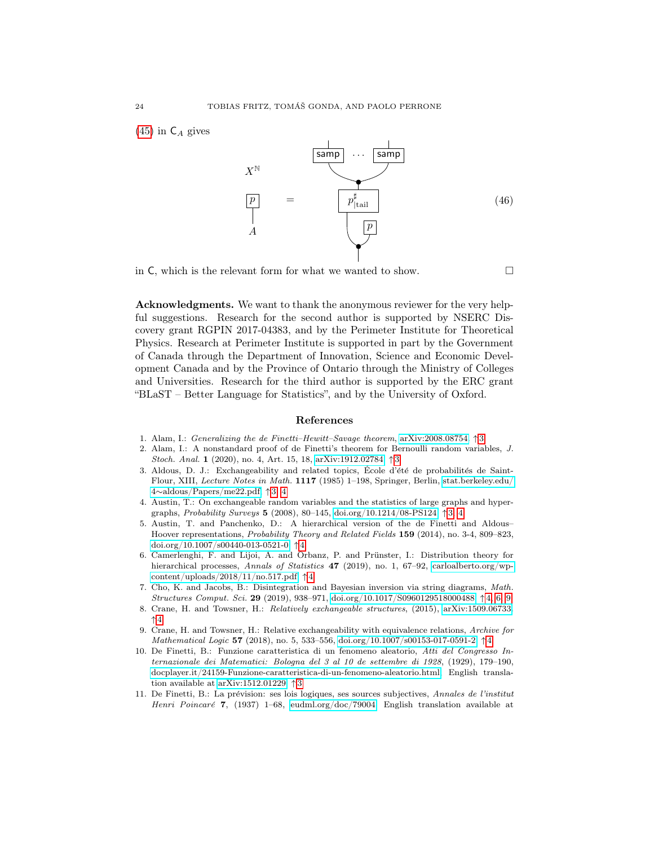$(45)$  in  $C_A$  gives



in C, which is the relevant form for what we wanted to show.  $\Box$ 

Acknowledgments. We want to thank the anonymous reviewer for the very helpful suggestions. Research for the second author is supported by NSERC Discovery grant RGPIN 2017-04383, and by the Perimeter Institute for Theoretical Physics. Research at Perimeter Institute is supported in part by the Government of Canada through the Department of Innovation, Science and Economic Development Canada and by the Province of Ontario through the Ministry of Colleges and Universities. Research for the third author is supported by the ERC grant "BLaST – Better Language for Statistics", and by the University of Oxford.

#### References

- <span id="page-24-5"></span>1. Alam, I.: Generalizing the de Finetti–Hewitt–Savage theorem, [arXiv:2008.08754.](https://arxiv.org/abs/2008.08754) ↑ [3](#page-3-0)
- <span id="page-24-4"></span>2. Alam, I.: A nonstandard proof of de Finetti's theorem for Bernoulli random variables, J. Stoch. Anal. 1 (2020), no. 4, Art. 15, 18, [arXiv:1912.02784.](https://arxiv.org/abs/1912.02784) ↑ [3](#page-3-0)
- <span id="page-24-3"></span>3. Aldous, D. J.: Exchangeability and related topics, École d'été de probabilités de Saint-Flour, XIII, Lecture Notes in Math. 1117 (1985) 1–198, Springer, Berlin, [stat.berkeley.edu/](https://www.stat.berkeley.edu/~aldous/Papers/me22.pdf) 4∼[aldous/Papers/me22.pdf,](https://www.stat.berkeley.edu/~aldous/Papers/me22.pdf) ↑ [3,](#page-3-0) [4](#page-4-1)
- <span id="page-24-2"></span>4. Austin, T.: On exchangeable random variables and the statistics of large graphs and hypergraphs, *Probability Surveys* 5 (2008), 80–145, [doi.org/10.1214/08-PS124.](https://doi.org/10.1214/08-PS124)  $\uparrow$ [3,](#page-3-0) [4](#page-4-1)
- <span id="page-24-8"></span>5. Austin, T. and Panchenko, D.: A hierarchical version of the de Finetti and Aldous– Hoover representations, Probability Theory and Related Fields 159 (2014), no. 3-4, 809–823, [doi.org/10.1007/s00440-013-0521-0.](https://doi.org/10.1007/s00440-013-0521-0) ↑ [4](#page-4-1)
- <span id="page-24-7"></span>6. Camerlenghi, F. and Lijoi, A. and Orbanz, P. and Prünster, I.: Distribution theory for hierarchical processes, Annals of Statistics 47 (2019), no. 1, 67–92, [carloalberto.org/wp](https://www.carloalberto.org/wp-content/uploads/2018/11/no.517.pdf)[content/uploads/2018/11/no.517.pdf.](https://www.carloalberto.org/wp-content/uploads/2018/11/no.517.pdf) ↑ [4](#page-4-1)
- <span id="page-24-6"></span>7. Cho, K. and Jacobs, B.: Disintegration and Bayesian inversion via string diagrams, Math. Structures Comput. Sci. 29 (2019), 938–971, [doi.org/10.1017/S0960129518000488.](https://doi.org/10.1017/S0960129518000488) ↑ [4,](#page-4-1) [6,](#page-6-1) [9](#page-9-1)
- <span id="page-24-9"></span>8. Crane, H. and Towsner, H.: Relatively exchangeable structures, (2015), [arXiv:1509.06733.](https://arxiv.org/abs/1509.06733) ↑ [4](#page-4-1)
- <span id="page-24-10"></span>9. Crane, H. and Towsner, H.: Relative exchangeability with equivalence relations, Archive for Mathematical Logic 57 (2018), no. 5, 533–556, [doi.org/10.1007/s00153-017-0591-2.](https://doi.org/10.1007/s00153-017-0591-2)  $\uparrow$  [4](#page-4-1)
- <span id="page-24-1"></span>10. De Finetti, B.: Funzione caratteristica di un fenomeno aleatorio, Atti del Congresso Internazionale dei Matematici: Bologna del 3 al 10 de settembre di 1928, (1929), 179–190, [docplayer.it/24159-Funzione-caratteristica-di-un-fenomeno-aleatorio.html,](https://docplayer.it/24159-Funzione-caratteristica-di-un-fenomeno-aleatorio.html) English translation available at [arXiv:1512.01229.](https://arxiv.org/abs/1512.01229) ↑ [3](#page-3-0)
- <span id="page-24-0"></span>11. De Finetti, B.: La prévision: ses lois logiques, ses sources subjectives, Annales de l'institut Henri Poincaré 7, (1937) 1–68, [eudml.org/doc/79004,](https://eudml.org/doc/79004) English translation available at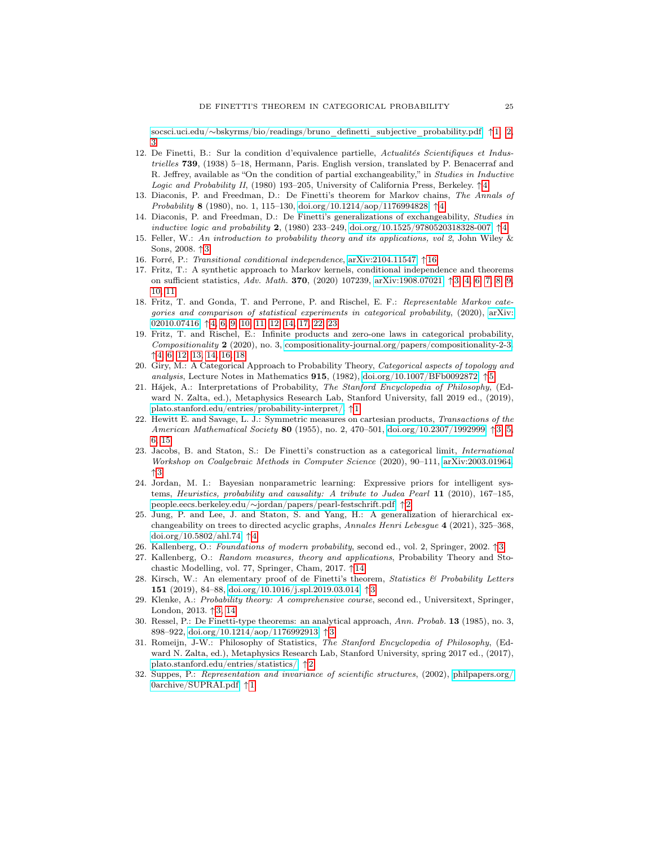socsci.uci.edu/∼[bskyrms/bio/readings/bruno\\_definetti\\_subjective\\_probability.pdf.](http://www.socsci.uci.edu/~bskyrms/bio/readings/bruno_definetti_subjective_probability.pdf) ↑ [1,](#page-1-0) [2,](#page-2-1) [3](#page-3-0)

- <span id="page-25-15"></span>12. De Finetti, B.: Sur la condition d'equivalence partielle,  $Actualités Scientifiques et Indus$ trielles 739, (1938) 5–18, Hermann, Paris. English version, translated by P. Benacerraf and R. Jeffrey, available as "On the condition of partial exchangeability," in Studies in Inductive Logic and Probability II, (1980) 193–205, University of California Press, Berkeley. ↑ [4](#page-4-1)
- <span id="page-25-16"></span>13. Diaconis, P. and Freedman, D.: De Finetti's theorem for Markov chains, The Annals of Probability 8 (1980), no. 1, 115–130, [doi.org/10.1214/aop/1176994828.](https://doi.org/10.1214/aop/1176994828) ↑[4](#page-4-1)
- <span id="page-25-14"></span>14. Diaconis, P. and Freedman, D.: De Finetti's generalizations of exchangeability, Studies in inductive logic and probability 2, (1980) 233–249, [doi.org/10.1525/9780520318328-007.](https://doi.org/10.1525/9780520318328-007) ↑ [4](#page-4-1)
- <span id="page-25-8"></span>15. Feller, W.: An introduction to probability theory and its applications, vol 2, John Wiley & Sons, 2008. ↑ [3](#page-3-0)
- <span id="page-25-20"></span>16. Forré, P.: Transitional conditional independence, [arXiv:2104.11547.](https://arxiv.org/abs/2104.11547) ↑ [16](#page-16-3)
- <span id="page-25-11"></span>17. Fritz, T.: A synthetic approach to Markov kernels, conditional independence and theorems on sufficient statistics, Adv. Math. 370, (2020) 107239, [arXiv:1908.07021.](https://arxiv.org/abs/1908.07021) ↑ [3,](#page-3-0) [4,](#page-4-1) [6,](#page-6-1) [7,](#page-7-1) [8,](#page-8-2) [9,](#page-9-1) [10,](#page-10-2) [11](#page-11-3)
- <span id="page-25-13"></span>18. Fritz, T. and Gonda, T. and Perrone, P. and Rischel, E. F.: Representable Markov categories and comparison of statistical experiments in categorical probability, (2020), [arXiv:](https://arxiv.org/abs/2010.07416) [02010.07416.](https://arxiv.org/abs/2010.07416) ↑ [4,](#page-4-1) [6,](#page-6-1) [9,](#page-9-1) [10,](#page-10-2) [11,](#page-11-3) [12,](#page-12-1) [14,](#page-14-6) [17,](#page-17-1) [22,](#page-22-0) [23](#page-23-2)
- <span id="page-25-12"></span>19. Fritz, T. and Rischel, E.: Infinite products and zero-one laws in categorical probability, Compositionality 2 (2020), no. 3, [compositionality-journal.org/papers/compositionality-2-3.](https://compositionality-journal.org/papers/compositionality-2-3/) ↑ [4,](#page-4-1) [6,](#page-6-1) [12,](#page-12-1) [13,](#page-13-1) [14,](#page-14-6) [16,](#page-16-3) [18](#page-18-2)
- <span id="page-25-18"></span>20. Giry, M.: A Categorical Approach to Probability Theory, Categorical aspects of topology and analysis, Lecture Notes in Mathematics  $915$  $915$ ,  $(1982)$ , [doi.org/10.1007/BFb0092872.](https://doi.org/10.1007/BFb0092872)  $\uparrow$ 5
- <span id="page-25-0"></span>21. Hájek, A.: Interpretations of Probability, The Stanford Encyclopedia of Philosophy, (Edward N. Zalta, ed.), Metaphysics Research Lab, Stanford University, fall 2019 ed., (2019), [plato.stanford.edu/entries/probability-interpret/.](https://plato.stanford.edu/archives/fall2019/entries/probability-interpret/) ↑ [1](#page-1-0)
- <span id="page-25-4"></span>22. Hewitt E. and Savage, L. J.: Symmetric measures on cartesian products, Transactions of the American Mathematical Society 80 (1955), no. 2, 470–501, [doi.org/10.2307/1992999.](https://doi.org/10.2307/1992999) ↑ [3,](#page-3-0) [5,](#page-5-2) [6,](#page-6-1) [15](#page-15-1)
- <span id="page-25-10"></span>23. Jacobs, B. and Staton, S.: De Finetti's construction as a categorical limit, International Workshop on Coalgebraic Methods in Computer Science (2020), 90–111, [arXiv:2003.01964.](https://arxiv.org/abs/2003.01964) ↑ [3](#page-3-0)
- <span id="page-25-2"></span>24. Jordan, M. I.: Bayesian nonparametric learning: Expressive priors for intelligent systems, Heuristics, probability and causality: A tribute to Judea Pearl 11 (2010), 167–185, people.eecs.berkeley.edu/∼[jordan/papers/pearl-festschrift.pdf.](https://people.eecs.berkeley.edu/~jordan/papers/pearl-festschrift.pdf) ↑ [2](#page-2-1)
- <span id="page-25-17"></span>25. Jung, P. and Lee, J. and Staton, S. and Yang, H.: A generalization of hierarchical exchangeability on trees to directed acyclic graphs, Annales Henri Lebesgue 4 (2021), 325–368, [doi.org/10.5802/ahl.74.](https://doi.org/10.5802/ahl.74) ↑ [4](#page-4-1)
- <span id="page-25-5"></span>26. Kallenberg, O.: Foundations of modern probability, second ed., vol. 2, Springer, 2002. ↑ [3](#page-3-0)
- <span id="page-25-19"></span>27. Kallenberg, O.: Random measures, theory and applications, Probability Theory and Stochastic Modelling, vol. 77, Springer, Cham, 2017. ↑ [14](#page-14-6)
- <span id="page-25-9"></span>28. Kirsch, W.: An elementary proof of de Finetti's theorem, Statistics & Probability Letters 151 (2019), 84–88, [doi.org/10.1016/j.spl.2019.03.014.](https://doi.org/10.1016/j.spl.2019.03.014) ↑ [3](#page-3-0)
- <span id="page-25-6"></span>29. Klenke, A.: Probability theory: A comprehensive course, second ed., Universitext, Springer, London, 2013. ↑ [3,](#page-3-0) [14](#page-14-6)
- <span id="page-25-7"></span>30. Ressel, P.: De Finetti-type theorems: an analytical approach, Ann. Probab. 13 (1985), no. 3, 898–922, [doi.org/10.1214/aop/1176992913.](https://doi.org/10.1214/aop/1176992913) ↑ [3](#page-3-0)
- <span id="page-25-3"></span>31. Romeijn, J-W.: Philosophy of Statistics, The Stanford Encyclopedia of Philosophy, (Edward N. Zalta, ed.), Metaphysics Research Lab, Stanford University, spring 2017 ed., (2017), [plato.stanford.edu/entries/statistics/.](https://plato.stanford.edu/archives/spr2017/entries/statistics/) ↑ [2](#page-2-1)
- <span id="page-25-1"></span>32. Suppes, P.: Representation and invariance of scientific structures, (2002), [philpapers.org/](https://philpapers.org/archive/SUPRAI.pdf) [0archive/SUPRAI.pdf.](https://philpapers.org/archive/SUPRAI.pdf) ↑ [1](#page-1-0)